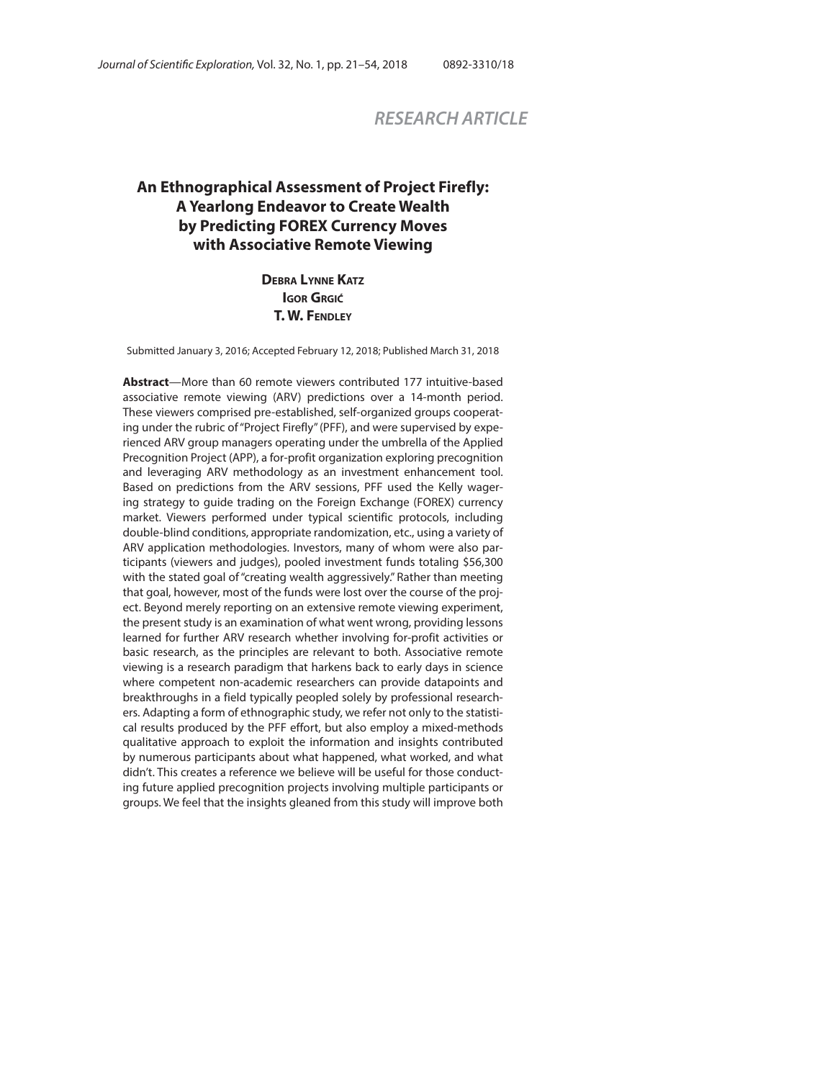# *RESEARCH ARTICLE*

# **An Ethnographical Assessment of Project Firefly: A Yearlong Endeavor to Create Wealth by Predicting FOREX Currency Moves with Associative Remote Viewing**

**DEBRA LYNNE KATZ IGOR GRGIĆ T. W. FENDLEY**

Submitted January 3, 2016; Accepted February 12, 2018; Published March 31, 2018

**Abstract**—More than 60 remote viewers contributed 177 intuitive-based associative remote viewing (ARV) predictions over a 14-month period. These viewers comprised pre-established, self-organized groups cooperating under the rubric of "Project Firefly" (PFF), and were supervised by experienced ARV group managers operating under the umbrella of the Applied Precognition Project (APP), a for-profit organization exploring precognition and leveraging ARV methodology as an investment enhancement tool. Based on predictions from the ARV sessions, PFF used the Kelly wagering strategy to guide trading on the Foreign Exchange (FOREX) currency market. Viewers performed under typical scientific protocols, including double-blind conditions, appropriate randomization, etc., using a variety of ARV application methodologies. Investors, many of whom were also participants (viewers and judges), pooled investment funds totaling \$56,300 with the stated goal of "creating wealth aggressively." Rather than meeting that goal, however, most of the funds were lost over the course of the project. Beyond merely reporting on an extensive remote viewing experiment, the present study is an examination of what went wrong, providing lessons learned for further ARV research whether involving for-profit activities or basic research, as the principles are relevant to both. Associative remote viewing is a research paradigm that harkens back to early days in science where competent non-academic researchers can provide datapoints and breakthroughs in a field typically peopled solely by professional researchers. Adapting a form of ethnographic study, we refer not only to the statistical results produced by the PFF effort, but also employ a mixed-methods qualitative approach to exploit the information and insights contributed by numerous participants about what happened, what worked, and what didn't. This creates a reference we believe will be useful for those conducting future applied precognition projects involving multiple participants or groups. We feel that the insights gleaned from this study will improve both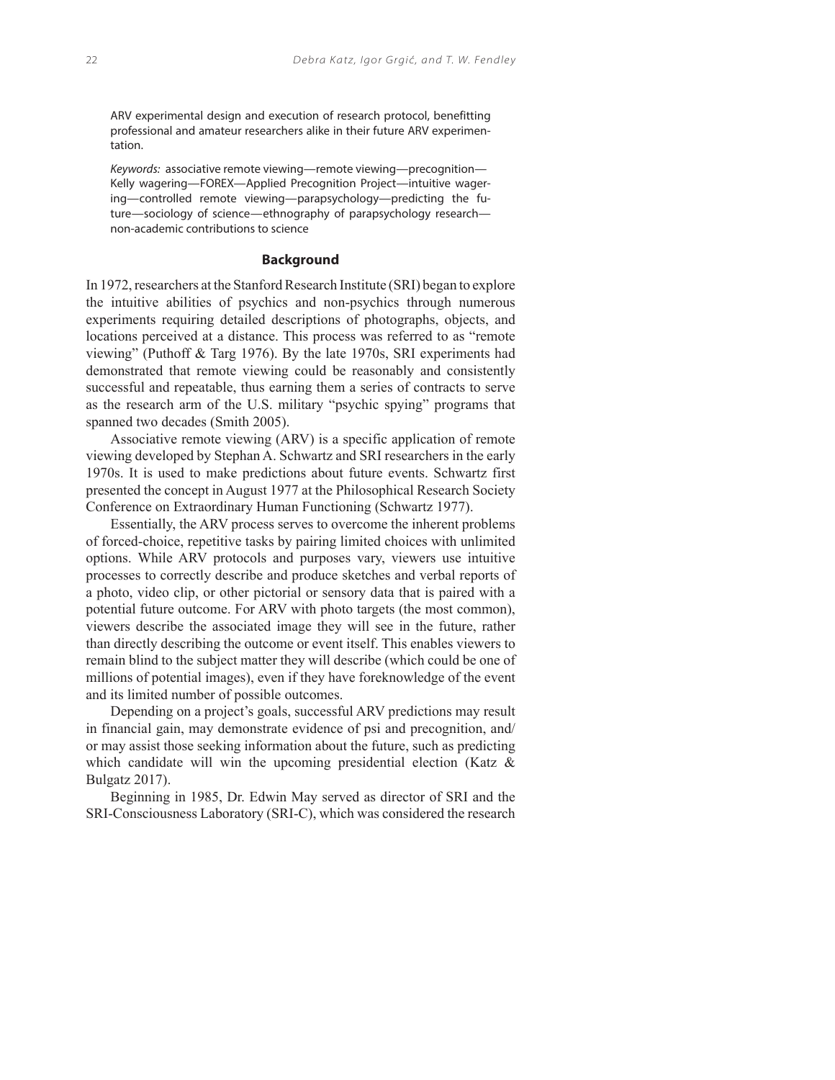ARV experimental design and execution of research protocol, benefitting professional and amateur researchers alike in their future ARV experimentation.

Keywords: associative remote viewing—remote viewing—precognition— Kelly wagering—FOREX—Applied Precognition Project—intuitive wagering—controlled remote viewing—parapsychology—predicting the future—sociology of science—ethnography of parapsychology research non-academic contributions to science

#### **Background**

In 1972, researchers at the Stanford Research Institute (SRI) began to explore the intuitive abilities of psychics and non-psychics through numerous experiments requiring detailed descriptions of photographs, objects, and locations perceived at a distance. This process was referred to as "remote viewing" (Puthoff & Targ 1976). By the late 1970s, SRI experiments had demonstrated that remote viewing could be reasonably and consistently successful and repeatable, thus earning them a series of contracts to serve as the research arm of the U.S. military "psychic spying" programs that spanned two decades (Smith 2005).

Associative remote viewing (ARV) is a specific application of remote viewing developed by Stephan A. Schwartz and SRI researchers in the early 1970s. It is used to make predictions about future events. Schwartz first presented the concept in August 1977 at the Philosophical Research Society Conference on Extraordinary Human Functioning (Schwartz 1977).

Essentially, the ARV process serves to overcome the inherent problems of forced-choice, repetitive tasks by pairing limited choices with unlimited options. While ARV protocols and purposes vary, viewers use intuitive processes to correctly describe and produce sketches and verbal reports of a photo, video clip, or other pictorial or sensory data that is paired with a potential future outcome. For ARV with photo targets (the most common), viewers describe the associated image they will see in the future, rather than directly describing the outcome or event itself. This enables viewers to remain blind to the subject matter they will describe (which could be one of millions of potential images), even if they have foreknowledge of the event and its limited number of possible outcomes.

Depending on a project's goals, successful ARV predictions may result in financial gain, may demonstrate evidence of psi and precognition, and/ or may assist those seeking information about the future, such as predicting which candidate will win the upcoming presidential election (Katz & Bulgatz 2017).

Beginning in 1985, Dr. Edwin May served as director of SRI and the SRI-Consciousness Laboratory (SRI-C), which was considered the research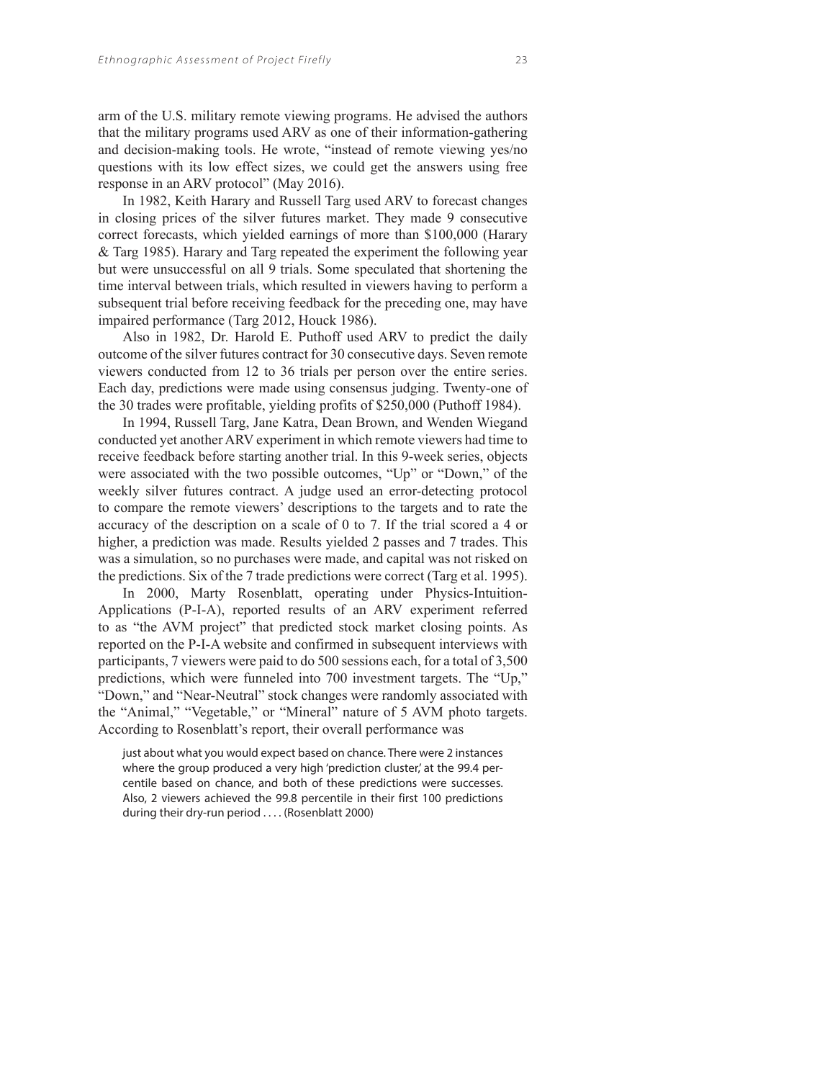arm of the U.S. military remote viewing programs. He advised the authors that the military programs used ARV as one of their information-gathering and decision-making tools. He wrote, "instead of remote viewing yes/no questions with its low effect sizes, we could get the answers using free response in an ARV protocol" (May 2016).

In 1982, Keith Harary and Russell Targ used ARV to forecast changes in closing prices of the silver futures market. They made 9 consecutive correct forecasts, which yielded earnings of more than \$100,000 (Harary & Targ 1985). Harary and Targ repeated the experiment the following year but were unsuccessful on all 9 trials. Some speculated that shortening the time interval between trials, which resulted in viewers having to perform a subsequent trial before receiving feedback for the preceding one, may have impaired performance (Targ 2012, Houck 1986).

Also in 1982, Dr. Harold E. Puthoff used ARV to predict the daily outcome of the silver futures contract for 30 consecutive days. Seven remote viewers conducted from 12 to 36 trials per person over the entire series. Each day, predictions were made using consensus judging. Twenty-one of the 30 trades were profitable, yielding profits of \$250,000 (Puthoff 1984).

In 1994, Russell Targ, Jane Katra, Dean Brown, and Wenden Wiegand conducted yet another ARV experiment in which remote viewers had time to receive feedback before starting another trial. In this 9-week series, objects were associated with the two possible outcomes, "Up" or "Down," of the weekly silver futures contract. A judge used an error-detecting protocol to compare the remote viewers' descriptions to the targets and to rate the accuracy of the description on a scale of 0 to 7. If the trial scored a 4 or higher, a prediction was made. Results yielded 2 passes and 7 trades. This was a simulation, so no purchases were made, and capital was not risked on the predictions. Six of the 7 trade predictions were correct (Targ et al. 1995).

In 2000, Marty Rosenblatt, operating under Physics-Intuition-Applications (P-I-A), reported results of an ARV experiment referred to as "the AVM project" that predicted stock market closing points. As reported on the P-I-A website and confirmed in subsequent interviews with participants, 7 viewers were paid to do 500 sessions each, for a total of 3,500 predictions, which were funneled into 700 investment targets. The "Up," "Down," and "Near-Neutral" stock changes were randomly associated with the "Animal," "Vegetable," or "Mineral" nature of 5 AVM photo targets. According to Rosenblatt's report, their overall performance was

just about what you would expect based on chance. There were 2 instances where the group produced a very high 'prediction cluster' at the 99.4 percentile based on chance, and both of these predictions were successes. Also, 2 viewers achieved the 99.8 percentile in their first 100 predictions during their dry-run period . . . . (Rosenblatt 2000)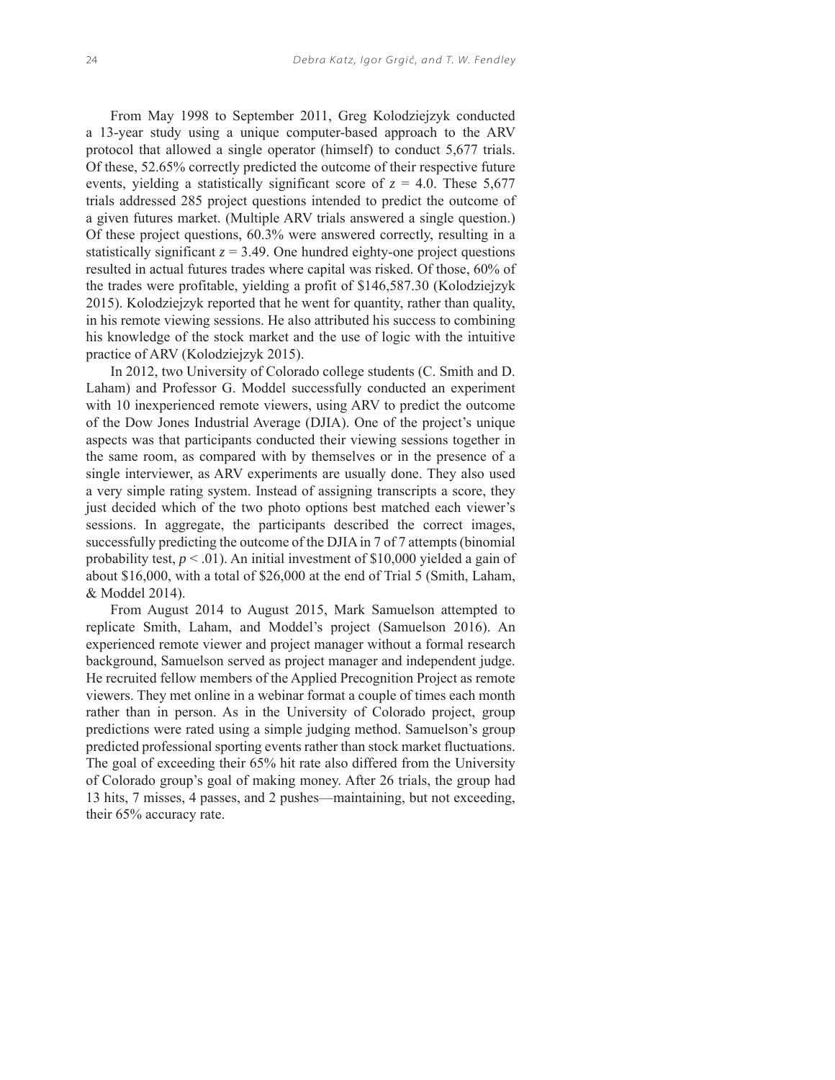From May 1998 to September 2011, Greg Kolodziejzyk conducted a 13-year study using a unique computer-based approach to the ARV protocol that allowed a single operator (himself) to conduct 5,677 trials. Of these, 52.65% correctly predicted the outcome of their respective future events, yielding a statistically significant score of  $z = 4.0$ . These 5,677 trials addressed 285 project questions intended to predict the outcome of a given futures market. (Multiple ARV trials answered a single question.) Of these project questions, 60.3% were answered correctly, resulting in a statistically significant  $z = 3.49$ . One hundred eighty-one project questions resulted in actual futures trades where capital was risked. Of those, 60% of the trades were profitable, yielding a profit of \$146,587.30 (Kolodziejzyk 2015). Kolodziejzyk reported that he went for quantity, rather than quality, in his remote viewing sessions. He also attributed his success to combining his knowledge of the stock market and the use of logic with the intuitive practice of ARV (Kolodziejzyk 2015).

In 2012, two University of Colorado college students (C. Smith and D. Laham) and Professor G. Moddel successfully conducted an experiment with 10 inexperienced remote viewers, using ARV to predict the outcome of the Dow Jones Industrial Average (DJIA). One of the project's unique aspects was that participants conducted their viewing sessions together in the same room, as compared with by themselves or in the presence of a single interviewer, as ARV experiments are usually done. They also used a very simple rating system. Instead of assigning transcripts a score, they just decided which of the two photo options best matched each viewer's sessions. In aggregate, the participants described the correct images, successfully predicting the outcome of the DJIA in 7 of 7 attempts (binomial probability test,  $p < .01$ ). An initial investment of \$10,000 yielded a gain of about \$16,000, with a total of \$26,000 at the end of Trial 5 (Smith, Laham, & Moddel 2014).

From August 2014 to August 2015, Mark Samuelson attempted to replicate Smith, Laham, and Moddel's project (Samuelson 2016). An experienced remote viewer and project manager without a formal research background, Samuelson served as project manager and independent judge. He recruited fellow members of the Applied Precognition Project as remote viewers. They met online in a webinar format a couple of times each month rather than in person. As in the University of Colorado project, group predictions were rated using a simple judging method. Samuelson's group predicted professional sporting events rather than stock market fluctuations. The goal of exceeding their 65% hit rate also differed from the University of Colorado group's goal of making money. After 26 trials, the group had 13 hits, 7 misses, 4 passes, and 2 pushes—maintaining, but not exceeding, their 65% accuracy rate.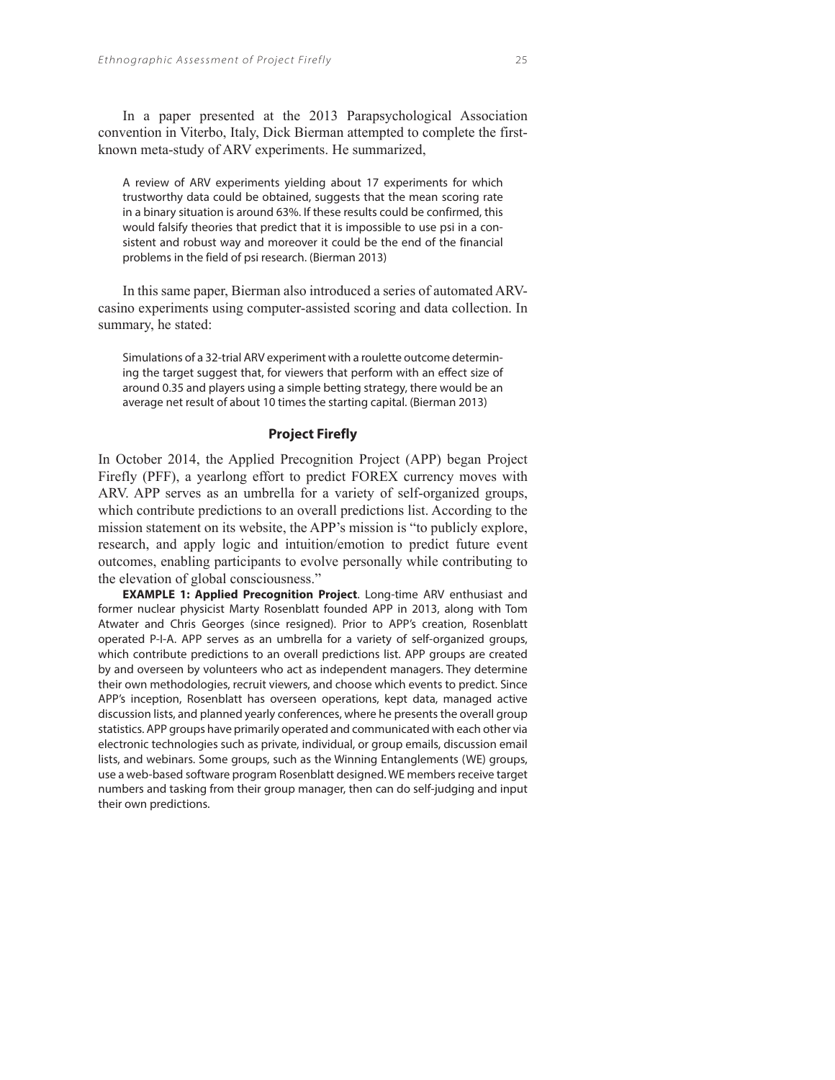In a paper presented at the 2013 Parapsychological Association convention in Viterbo, Italy, Dick Bierman attempted to complete the firstknown meta-study of ARV experiments. He summarized,

A review of ARV experiments yielding about 17 experiments for which trustworthy data could be obtained, suggests that the mean scoring rate in a binary situation is around 63%. If these results could be confirmed, this would falsify theories that predict that it is impossible to use psi in a consistent and robust way and moreover it could be the end of the financial problems in the field of psi research. (Bierman 2013)

In this same paper, Bierman also introduced a series of automated ARVcasino experiments using computer-assisted scoring and data collection. In summary, he stated:

Simulations of a 32-trial ARV experiment with a roulette outcome determining the target suggest that, for viewers that perform with an effect size of around 0.35 and players using a simple betting strategy, there would be an average net result of about 10 times the starting capital. (Bierman 2013)

## **Project Firefly**

In October 2014, the Applied Precognition Project (APP) began Project Firefly (PFF), a yearlong effort to predict FOREX currency moves with ARV. APP serves as an umbrella for a variety of self-organized groups, which contribute predictions to an overall predictions list. According to the mission statement on its website, the APP's mission is "to publicly explore, research, and apply logic and intuition/emotion to predict future event outcomes, enabling participants to evolve personally while contributing to the elevation of global consciousness."

**EXAMPLE 1: Applied Precognition Project**. Long-time ARV enthusiast and former nuclear physicist Marty Rosenblatt founded APP in 2013, along with Tom Atwater and Chris Georges (since resigned). Prior to APP's creation, Rosenblatt operated P-I-A. APP serves as an umbrella for a variety of self-organized groups, which contribute predictions to an overall predictions list. APP groups are created by and overseen by volunteers who act as independent managers. They determine their own methodologies, recruit viewers, and choose which events to predict. Since APP's inception, Rosenblatt has overseen operations, kept data, managed active discussion lists, and planned yearly conferences, where he presents the overall group statistics. APP groups have primarily operated and communicated with each other via electronic technologies such as private, individual, or group emails, discussion email lists, and webinars. Some groups, such as the Winning Entanglements (WE) groups, use a web-based software program Rosenblatt designed. WE members receive target numbers and tasking from their group manager, then can do self-judging and input their own predictions.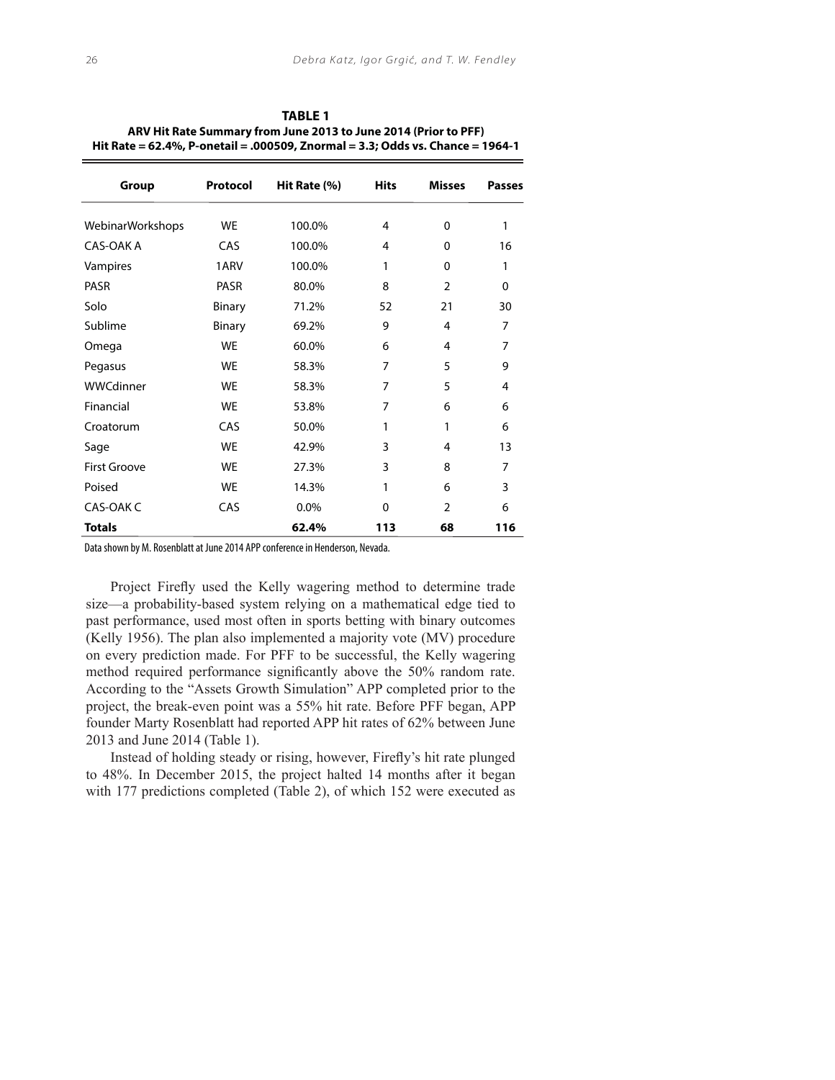| Group               | Protocol  | Hit Rate (%) | <b>Hits</b> | <b>Misses</b>  | <b>Passes</b>  |
|---------------------|-----------|--------------|-------------|----------------|----------------|
| WebinarWorkshops    | <b>WE</b> | 100.0%       | 4           | $\Omega$       | 1              |
| CAS-OAK A           | CAS       | 100.0%       | 4           | 0              | 16             |
| Vampires            | 1ARV      | 100.0%       | 1           | $\Omega$       | 1              |
| PASR                | PASR      | 80.0%        | 8           | $\overline{2}$ | 0              |
| Solo                | Binary    | 71.2%        | 52          | 21             | 30             |
| Sublime             | Binary    | 69.2%        | 9           | 4              | 7              |
| Omega               | <b>WE</b> | 60.0%        | 6           | 4              | 7              |
| Pegasus             | <b>WE</b> | 58.3%        | 7           | 5              | 9              |
| WWCdinner           | <b>WF</b> | 58.3%        | 7           | 5              | 4              |
| Financial           | <b>WE</b> | 53.8%        | 7           | 6              | 6              |
| Croatorum           | CAS       | 50.0%        | 1           | 1              | 6              |
| Sage                | <b>WE</b> | 42.9%        | 3           | 4              | 13             |
| <b>First Groove</b> | <b>WE</b> | 27.3%        | 3           | 8              | $\overline{7}$ |
| Poised              | <b>WE</b> | 14.3%        | 1           | 6              | 3              |
| CAS-OAK C           | CAS       | 0.0%         | $\Omega$    | $\overline{2}$ | 6              |
| <b>Totals</b>       |           | 62.4%        | 113         | 68             | 116            |

**TABLE 1 ARV Hit Rate Summary from June 2013 to June 2014 (Prior to PFF) Hit Rate = 62.4%, P-onetail = .000509, Znormal = 3.3; Odds vs. Chance = 1964-1**

Data shown by M. Rosenblatt at June 2014 APP conference in Henderson, Nevada.

Project Firefly used the Kelly wagering method to determine trade size—a probability-based system relying on a mathematical edge tied to past performance, used most often in sports betting with binary outcomes (Kelly 1956). The plan also implemented a majority vote (MV) procedure on every prediction made. For PFF to be successful, the Kelly wagering method required performance significantly above the 50% random rate. According to the "Assets Growth Simulation" APP completed prior to the project, the break-even point was a 55% hit rate. Before PFF began, APP founder Marty Rosenblatt had reported APP hit rates of 62% between June 2013 and June 2014 (Table 1).

Instead of holding steady or rising, however, Firefly's hit rate plunged to 48%. In December 2015, the project halted 14 months after it began with 177 predictions completed (Table 2), of which 152 were executed as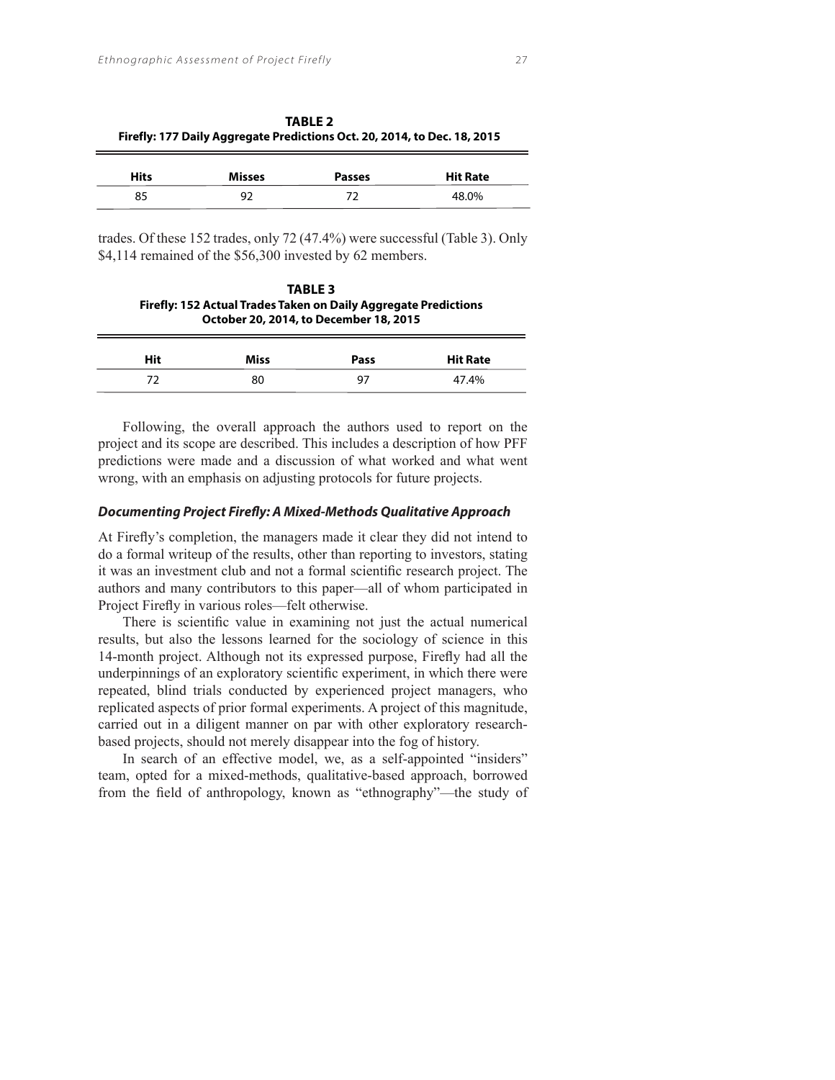| Firefly: 177 Daily Aggregate Predictions Oct. 20, 2014, to Dec. 18, 2015 |               |               |                 |  |  |
|--------------------------------------------------------------------------|---------------|---------------|-----------------|--|--|
| <b>Hits</b>                                                              | <b>Misses</b> | <b>Passes</b> | <b>Hit Rate</b> |  |  |
| 85                                                                       | 92            | 77            | 48.0%           |  |  |

**TABLE 2**

trades. Of these 152 trades, only 72 (47.4%) were successful (Table 3). Only \$4,114 remained of the \$56,300 invested by 62 members.

**TABLE 3 Firefly: 152 Actual Trades Taken on Daily Aggregate Predictions October 20, 2014, to December 18, 2015**

| Hit | Miss | <b>Pass</b> | <b>Hit Rate</b> |
|-----|------|-------------|-----------------|
|     | 80   | 97          | 47.4%           |

Following, the overall approach the authors used to report on the project and its scope are described. This includes a description of how PFF predictions were made and a discussion of what worked and what went wrong, with an emphasis on adjusting protocols for future projects.

#### **Documenting Project Firefly: A Mixed-Methods Qualitative Approach**

At Firefly's completion, the managers made it clear they did not intend to do a formal writeup of the results, other than reporting to investors, stating it was an investment club and not a formal scientific research project. The authors and many contributors to this paper—all of whom participated in Project Firefly in various roles—felt otherwise.

There is scientific value in examining not just the actual numerical results, but also the lessons learned for the sociology of science in this 14-month project. Although not its expressed purpose, Firefly had all the underpinnings of an exploratory scientific experiment, in which there were repeated, blind trials conducted by experienced project managers, who replicated aspects of prior formal experiments. A project of this magnitude, carried out in a diligent manner on par with other exploratory researchbased projects, should not merely disappear into the fog of history.

In search of an effective model, we, as a self-appointed "insiders" team, opted for a mixed-methods, qualitative-based approach, borrowed from the field of anthropology, known as "ethnography"—the study of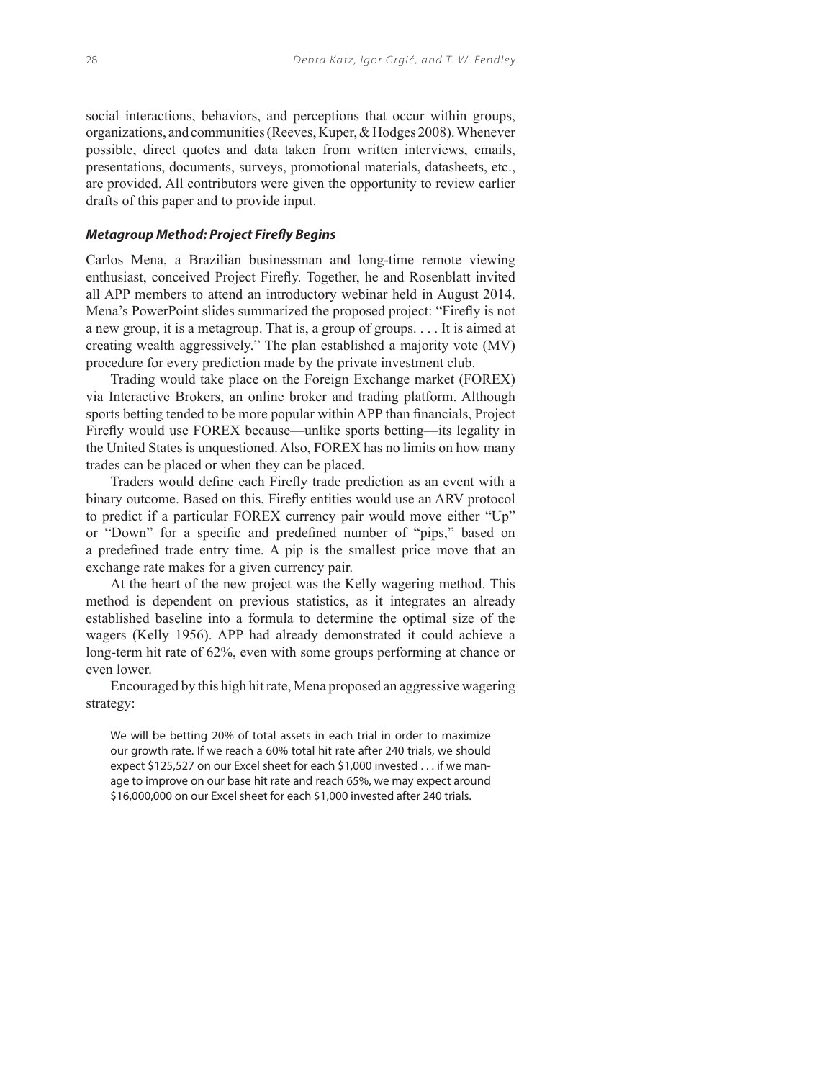social interactions, behaviors, and perceptions that occur within groups, organizations, and communities (Reeves, Kuper, & Hodges 2008). Whenever possible, direct quotes and data taken from written interviews, emails, presentations, documents, surveys, promotional materials, datasheets, etc., are provided. All contributors were given the opportunity to review earlier drafts of this paper and to provide input.

## **Metagroup Method: Project Firefly Begins**

Carlos Mena, a Brazilian businessman and long-time remote viewing enthusiast, conceived Project Firefly. Together, he and Rosenblatt invited all APP members to attend an introductory webinar held in August 2014. Mena's PowerPoint slides summarized the proposed project: "Firefly is not a new group, it is a metagroup. That is, a group of groups. . . . It is aimed at creating wealth aggressively." The plan established a majority vote (MV) procedure for every prediction made by the private investment club.

Trading would take place on the Foreign Exchange market (FOREX) via Interactive Brokers, an online broker and trading platform. Although sports betting tended to be more popular within APP than financials, Project Firefly would use FOREX because—unlike sports betting—its legality in the United States is unquestioned. Also, FOREX has no limits on how many trades can be placed or when they can be placed.

Traders would define each Firefly trade prediction as an event with a binary outcome. Based on this, Firefly entities would use an ARV protocol to predict if a particular FOREX currency pair would move either "Up" or "Down" for a specific and predefined number of "pips," based on a predefined trade entry time. A pip is the smallest price move that an exchange rate makes for a given currency pair.

At the heart of the new project was the Kelly wagering method. This method is dependent on previous statistics, as it integrates an already established baseline into a formula to determine the optimal size of the wagers (Kelly 1956). APP had already demonstrated it could achieve a long-term hit rate of 62%, even with some groups performing at chance or even lower.

Encouraged by this high hit rate, Mena proposed an aggressive wagering strategy:

We will be betting 20% of total assets in each trial in order to maximize our growth rate. If we reach a 60% total hit rate after 240 trials, we should expect \$125,527 on our Excel sheet for each \$1,000 invested . . . if we manage to improve on our base hit rate and reach 65%, we may expect around \$16,000,000 on our Excel sheet for each \$1,000 invested after 240 trials.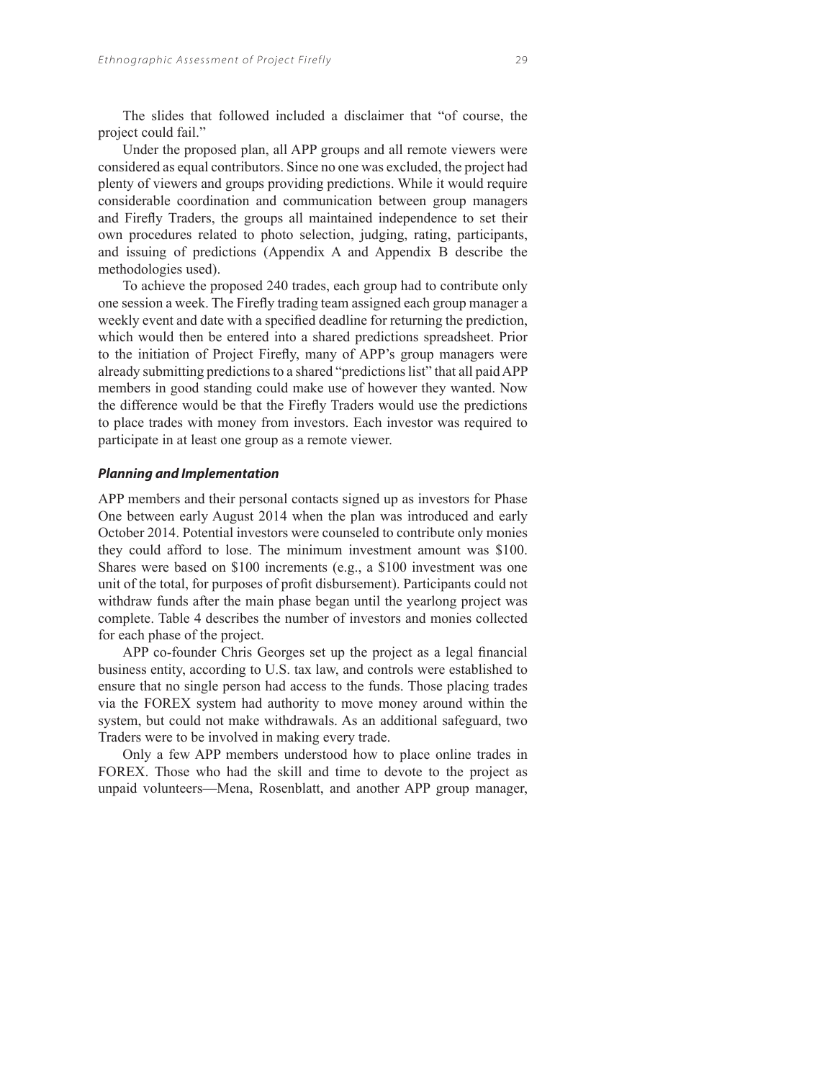The slides that followed included a disclaimer that "of course, the project could fail."

Under the proposed plan, all APP groups and all remote viewers were considered as equal contributors. Since no one was excluded, the project had plenty of viewers and groups providing predictions. While it would require considerable coordination and communication between group managers and Firefly Traders, the groups all maintained independence to set their own procedures related to photo selection, judging, rating, participants, and issuing of predictions (Appendix A and Appendix B describe the methodologies used).

To achieve the proposed 240 trades, each group had to contribute only one session a week. The Firefly trading team assigned each group manager a weekly event and date with a specified deadline for returning the prediction, which would then be entered into a shared predictions spreadsheet. Prior to the initiation of Project Firefly, many of APP's group managers were already submitting predictions to a shared "predictions list" that all paid APP members in good standing could make use of however they wanted. Now the difference would be that the Firefly Traders would use the predictions to place trades with money from investors. Each investor was required to participate in at least one group as a remote viewer.

## **Planning and Implementation**

APP members and their personal contacts signed up as investors for Phase One between early August 2014 when the plan was introduced and early October 2014. Potential investors were counseled to contribute only monies they could afford to lose. The minimum investment amount was \$100. Shares were based on \$100 increments (e.g., a \$100 investment was one unit of the total, for purposes of profit disbursement). Participants could not withdraw funds after the main phase began until the yearlong project was complete. Table 4 describes the number of investors and monies collected for each phase of the project.

APP co-founder Chris Georges set up the project as a legal financial business entity, according to U.S. tax law, and controls were established to ensure that no single person had access to the funds. Those placing trades via the FOREX system had authority to move money around within the system, but could not make withdrawals. As an additional safeguard, two Traders were to be involved in making every trade.

Only a few APP members understood how to place online trades in FOREX. Those who had the skill and time to devote to the project as unpaid volunteers—Mena, Rosenblatt, and another APP group manager,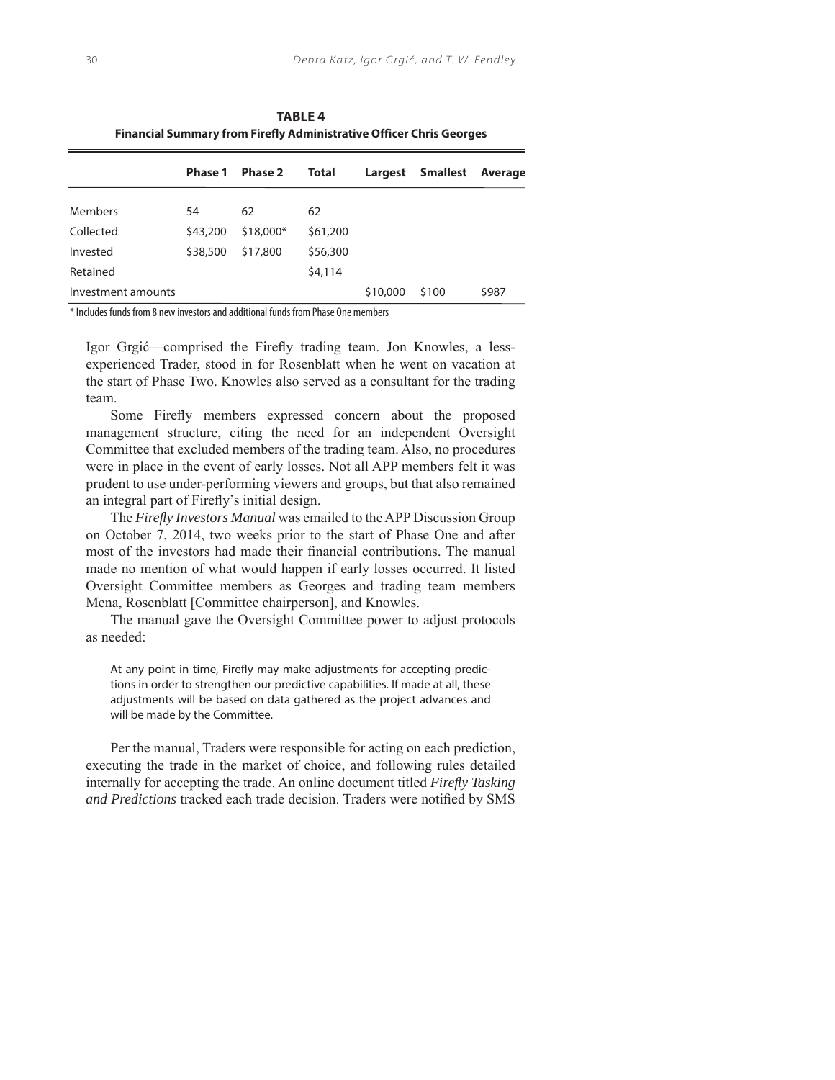| Financial Summary from Firefly Administrative Officer Chris Georges |          |                |          |          |                  |         |  |
|---------------------------------------------------------------------|----------|----------------|----------|----------|------------------|---------|--|
|                                                                     | Phase 1  | <b>Phase 2</b> | Total    |          | Largest Smallest | Average |  |
| <b>Members</b>                                                      | 54       | 62             | 62       |          |                  |         |  |
| Collected                                                           | \$43,200 | \$18,000*      | \$61,200 |          |                  |         |  |
| Invested                                                            | \$38,500 | \$17,800       | \$56,300 |          |                  |         |  |
| Retained                                                            |          |                | \$4,114  |          |                  |         |  |
| Investment amounts                                                  |          |                |          | \$10,000 | \$100            | \$987   |  |

**TABLE 4 Financial Summary from Firefly Administrative Officer Chris Georges**

\* Includes funds from 8 new investors and additional funds from Phase One members

Igor Grgić—comprised the Firefly trading team. Jon Knowles, a lessexperienced Trader, stood in for Rosenblatt when he went on vacation at the start of Phase Two. Knowles also served as a consultant for the trading team.

Some Firefly members expressed concern about the proposed management structure, citing the need for an independent Oversight Committee that excluded members of the trading team. Also, no procedures were in place in the event of early losses. Not all APP members felt it was prudent to use under-performing viewers and groups, but that also remained an integral part of Firefly's initial design.

The *Firefl y Investors Manual* was emailed to the APP Discussion Group on October 7, 2014, two weeks prior to the start of Phase One and after most of the investors had made their financial contributions. The manual made no mention of what would happen if early losses occurred. It listed Oversight Committee members as Georges and trading team members Mena, Rosenblatt [Committee chairperson], and Knowles.

The manual gave the Oversight Committee power to adjust protocols as needed:

At any point in time, Firefly may make adiustments for accepting predictions in order to strengthen our predictive capabilities. If made at all, these adjustments will be based on data gathered as the project advances and will be made by the Committee.

Per the manual, Traders were responsible for acting on each prediction, executing the trade in the market of choice, and following rules detailed internally for accepting the trade. An online document titled *Firefl y Tasking and Predictions* tracked each trade decision. Traders were notified by SMS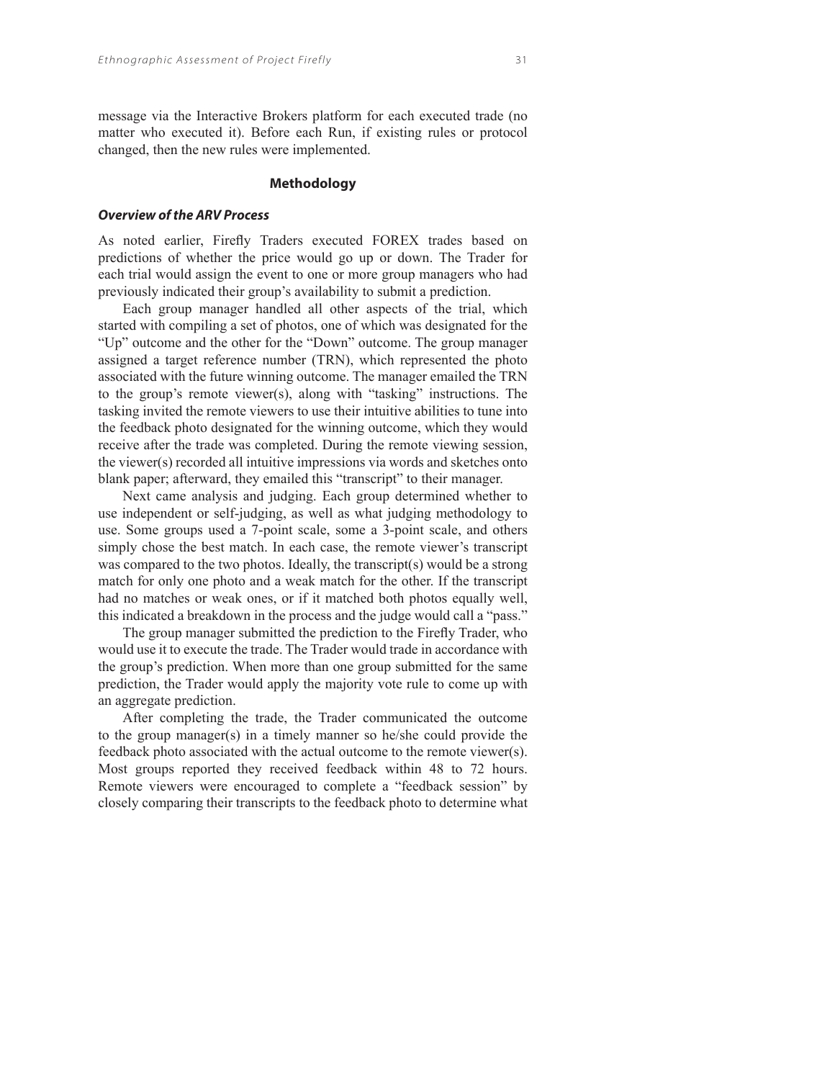changed, then the new rules were implemented.

#### **Methodology**

#### **Overview of the ARV Process**

As noted earlier, Firefly Traders executed FOREX trades based on predictions of whether the price would go up or down. The Trader for each trial would assign the event to one or more group managers who had previously indicated their group's availability to submit a prediction.

Each group manager handled all other aspects of the trial, which started with compiling a set of photos, one of which was designated for the "Up" outcome and the other for the "Down" outcome. The group manager assigned a target reference number (TRN), which represented the photo associated with the future winning outcome. The manager emailed the TRN to the group's remote viewer(s), along with "tasking" instructions. The tasking invited the remote viewers to use their intuitive abilities to tune into the feedback photo designated for the winning outcome, which they would receive after the trade was completed. During the remote viewing session, the viewer(s) recorded all intuitive impressions via words and sketches onto blank paper; afterward, they emailed this "transcript" to their manager.

Next came analysis and judging. Each group determined whether to use independent or self-judging, as well as what judging methodology to use. Some groups used a 7-point scale, some a 3-point scale, and others simply chose the best match. In each case, the remote viewer's transcript was compared to the two photos. Ideally, the transcript(s) would be a strong match for only one photo and a weak match for the other. If the transcript had no matches or weak ones, or if it matched both photos equally well, this indicated a breakdown in the process and the judge would call a "pass."

The group manager submitted the prediction to the Firefly Trader, who would use it to execute the trade. The Trader would trade in accordance with the group's prediction. When more than one group submitted for the same prediction, the Trader would apply the majority vote rule to come up with an aggregate prediction.

After completing the trade, the Trader communicated the outcome to the group manager(s) in a timely manner so he/she could provide the feedback photo associated with the actual outcome to the remote viewer(s). Most groups reported they received feedback within 48 to 72 hours. Remote viewers were encouraged to complete a "feedback session" by closely comparing their transcripts to the feedback photo to determine what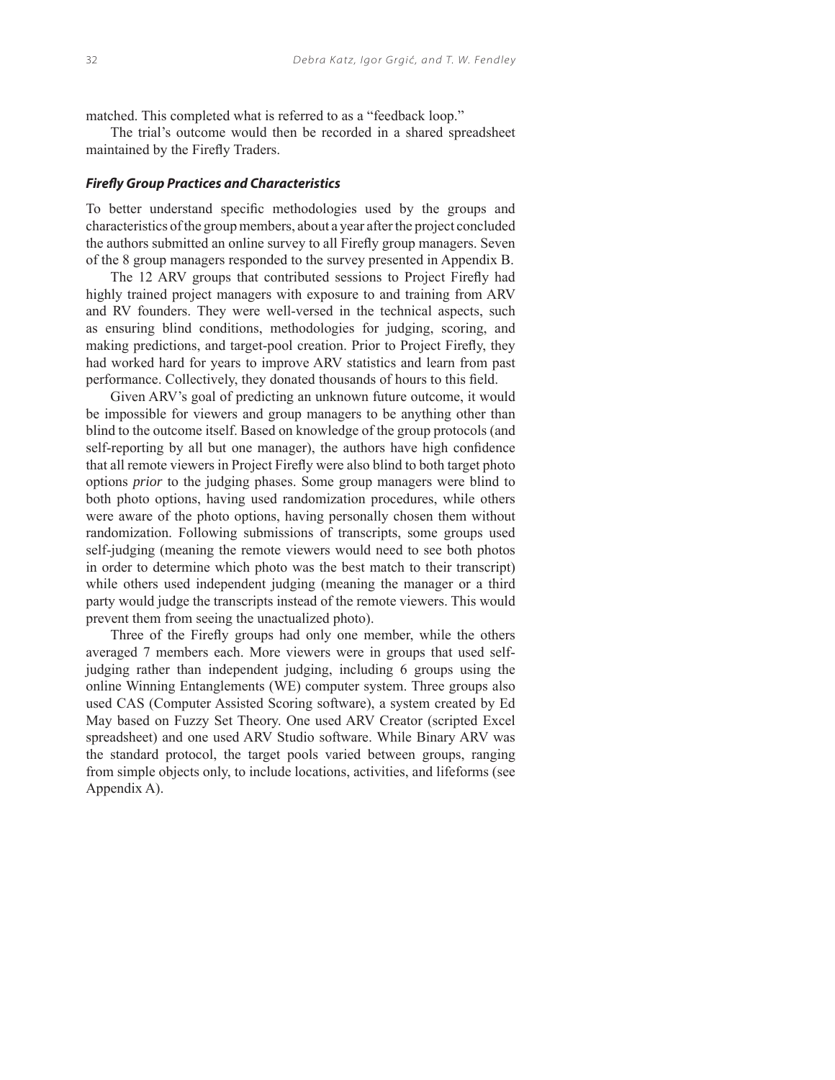matched. This completed what is referred to as a "feedback loop."

The trial's outcome would then be recorded in a shared spreadsheet maintained by the Firefly Traders.

#### **Firefly Group Practices and Characteristics**

To better understand specific methodologies used by the groups and characteristics of the group members, about a year after the project concluded the authors submitted an online survey to all Firefly group managers. Seven of the 8 group managers responded to the survey presented in Appendix B.

The 12 ARV groups that contributed sessions to Project Firefly had highly trained project managers with exposure to and training from ARV and RV founders. They were well-versed in the technical aspects, such as ensuring blind conditions, methodologies for judging, scoring, and making predictions, and target-pool creation. Prior to Project Firefly, they had worked hard for years to improve ARV statistics and learn from past performance. Collectively, they donated thousands of hours to this field.

Given ARV's goal of predicting an unknown future outcome, it would be impossible for viewers and group managers to be anything other than blind to the outcome itself. Based on knowledge of the group protocols (and self-reporting by all but one manager), the authors have high confidence that all remote viewers in Project Firefly were also blind to both target photo options *prior* to the judging phases. Some group managers were blind to both photo options, having used randomization procedures, while others were aware of the photo options, having personally chosen them without randomization. Following submissions of transcripts, some groups used self-judging (meaning the remote viewers would need to see both photos in order to determine which photo was the best match to their transcript) while others used independent judging (meaning the manager or a third party would judge the transcripts instead of the remote viewers. This would prevent them from seeing the unactualized photo).

Three of the Firefly groups had only one member, while the others averaged 7 members each. More viewers were in groups that used selfjudging rather than independent judging, including 6 groups using the online Winning Entanglements (WE) computer system. Three groups also used CAS (Computer Assisted Scoring software), a system created by Ed May based on Fuzzy Set Theory. One used ARV Creator (scripted Excel spreadsheet) and one used ARV Studio software. While Binary ARV was the standard protocol, the target pools varied between groups, ranging from simple objects only, to include locations, activities, and lifeforms (see Appendix A).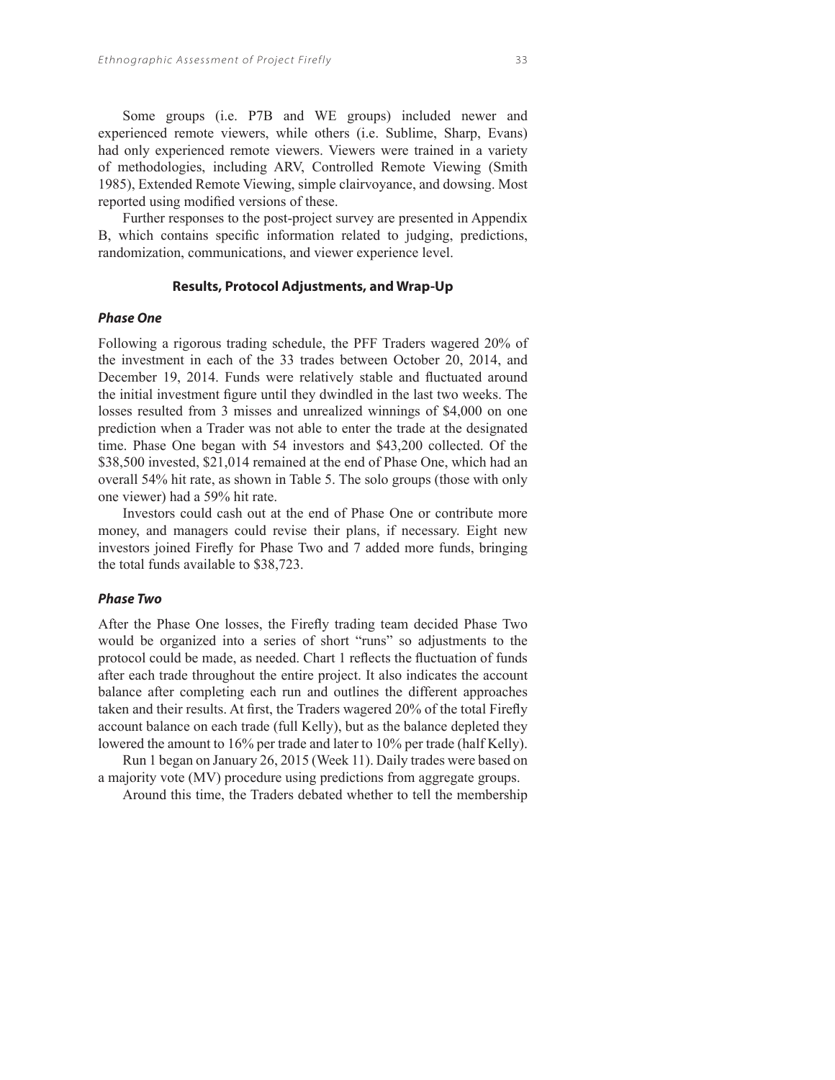Some groups (i.e. P7B and WE groups) included newer and experienced remote viewers, while others (i.e. Sublime, Sharp, Evans) had only experienced remote viewers. Viewers were trained in a variety of methodologies, including ARV, Controlled Remote Viewing (Smith 1985), Extended Remote Viewing, simple clairvoyance, and dowsing. Most reported using modified versions of these.

Further responses to the post-project survey are presented in Appendix B, which contains specific information related to judging, predictions, randomization, communications, and viewer experience level.

#### **Results, Protocol Adjustments, and Wrap-Up**

#### **Phase One**

Following a rigorous trading schedule, the PFF Traders wagered 20% of the investment in each of the 33 trades between October 20, 2014, and December 19, 2014. Funds were relatively stable and fluctuated around the initial investment figure until they dwindled in the last two weeks. The losses resulted from 3 misses and unrealized winnings of \$4,000 on one prediction when a Trader was not able to enter the trade at the designated time. Phase One began with 54 investors and \$43,200 collected. Of the \$38,500 invested, \$21,014 remained at the end of Phase One, which had an overall 54% hit rate, as shown in Table 5. The solo groups (those with only one viewer) had a 59% hit rate.

Investors could cash out at the end of Phase One or contribute more money, and managers could revise their plans, if necessary. Eight new investors joined Firefly for Phase Two and 7 added more funds, bringing the total funds available to \$38,723.

## **Phase Two**

After the Phase One losses, the Firefly trading team decided Phase Two would be organized into a series of short "runs" so adjustments to the protocol could be made, as needed. Chart 1 reflects the fluctuation of funds after each trade throughout the entire project. It also indicates the account balance after completing each run and outlines the different approaches taken and their results. At first, the Traders wagered 20% of the total Firefly account balance on each trade (full Kelly), but as the balance depleted they lowered the amount to 16% per trade and later to 10% per trade (half Kelly).

Run 1 began on January 26, 2015 (Week 11). Daily trades were based on a majority vote (MV) procedure using predictions from aggregate groups.

Around this time, the Traders debated whether to tell the membership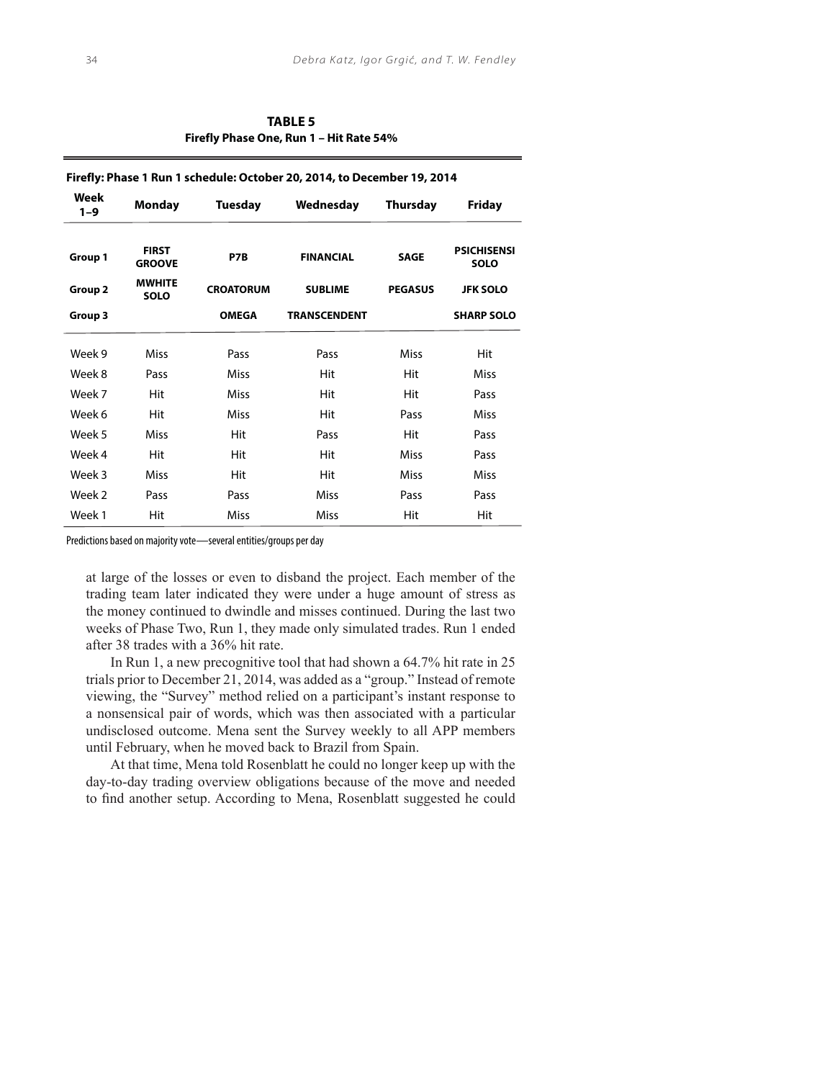**TABLE 5 Firefly Phase One, Run 1 – Hit Rate 54%**

| Firefly: Phase 1 Run 1 schedule: October 20, 2014, to December 19, 2014 |                               |                  |                     |                 |                                   |  |  |
|-------------------------------------------------------------------------|-------------------------------|------------------|---------------------|-----------------|-----------------------------------|--|--|
| Week<br>$1 - 9$                                                         | <b>Monday</b>                 | <b>Tuesday</b>   | Wednesday           | <b>Thursday</b> | <b>Friday</b>                     |  |  |
| Group 1                                                                 | <b>FIRST</b><br><b>GROOVE</b> | P7B              | <b>FINANCIAL</b>    | <b>SAGE</b>     | <b>PSICHISENSI</b><br><b>SOLO</b> |  |  |
| Group <sub>2</sub>                                                      | <b>MWHITE</b><br><b>SOLO</b>  | <b>CROATORUM</b> | <b>SUBLIME</b>      | <b>PEGASUS</b>  | <b>JFK SOLO</b>                   |  |  |
| Group 3                                                                 |                               | <b>OMEGA</b>     | <b>TRANSCENDENT</b> |                 | <b>SHARP SOLO</b>                 |  |  |
| Week 9                                                                  | Miss                          | Pass             | Pass                | Miss            | Hit                               |  |  |
| Week 8                                                                  | Pass                          | Miss             | Hit                 | Hit             | Miss                              |  |  |
| Week 7                                                                  | Hit                           | Miss             | Hit                 | Hit             | Pass                              |  |  |
| Week 6                                                                  | Hit                           | Miss             | Hit                 | Pass            | <b>Miss</b>                       |  |  |
| Week 5                                                                  | Miss                          | Hit              | Pass                | Hit             | Pass                              |  |  |
| Week 4                                                                  | Hit                           | Hit              | Hit                 | <b>Miss</b>     | Pass                              |  |  |
| Week 3                                                                  | Miss                          | Hit              | Hit                 | <b>Miss</b>     | Miss                              |  |  |
| Week 2                                                                  | Pass                          | Pass             | Miss                | Pass            | Pass                              |  |  |
| Week 1                                                                  | Hit                           | Miss             | <b>Miss</b>         | Hit             | Hit                               |  |  |

Predictions based on majority vote—several entities/groups per day

at large of the losses or even to disband the project. Each member of the trading team later indicated they were under a huge amount of stress as the money continued to dwindle and misses continued. During the last two weeks of Phase Two, Run 1, they made only simulated trades. Run 1 ended after 38 trades with a 36% hit rate.

In Run 1, a new precognitive tool that had shown a 64.7% hit rate in 25 trials prior to December 21, 2014, was added as a "group." Instead of remote viewing, the "Survey" method relied on a participant's instant response to a nonsensical pair of words, which was then associated with a particular undisclosed outcome. Mena sent the Survey weekly to all APP members until February, when he moved back to Brazil from Spain.

At that time, Mena told Rosenblatt he could no longer keep up with the day-to-day trading overview obligations because of the move and needed to find another setup. According to Mena, Rosenblatt suggested he could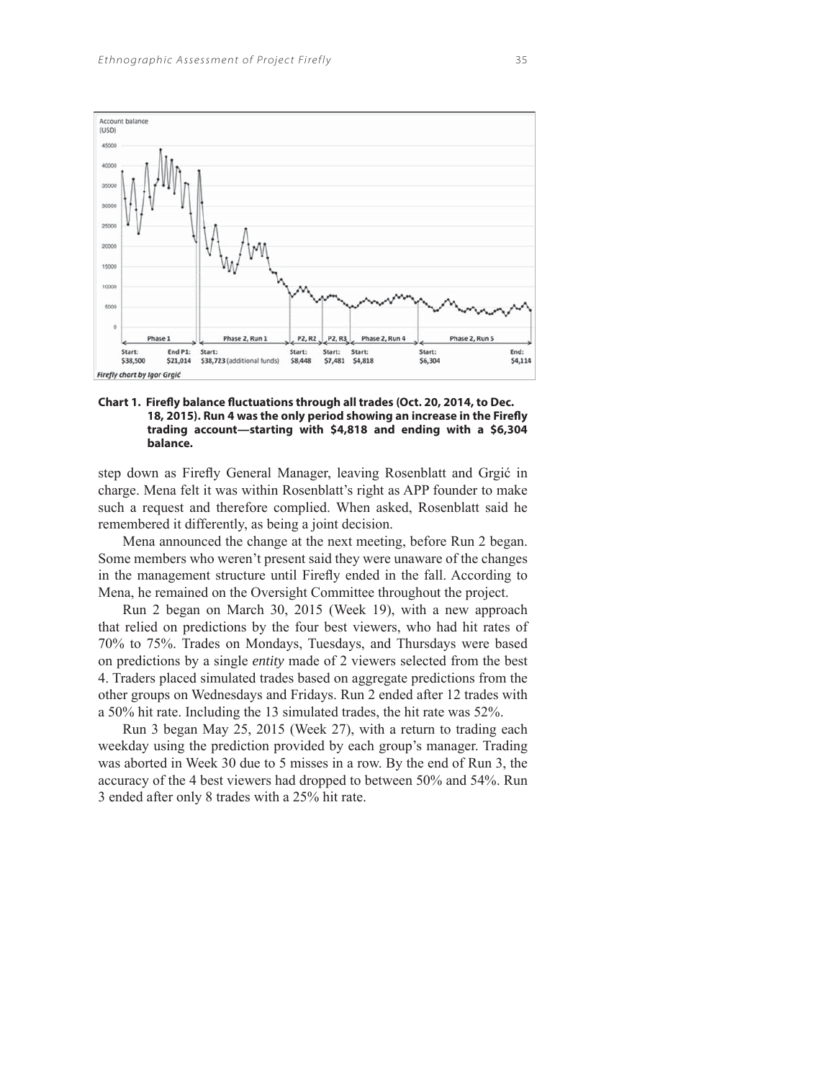

Chart 1. Firefly balance fluctuations through all trades (Oct. 20, 2014, to Dec. 18, 2015). Run 4 was the only period showing an increase in the Firefly **trading account—starting with \$4,818 and ending with a \$6,304 balance.**

step down as Firefly General Manager, leaving Rosenblatt and Grgić in charge. Mena felt it was within Rosenblatt's right as APP founder to make such a request and therefore complied. When asked, Rosenblatt said he remembered it differently, as being a joint decision.

Mena announced the change at the next meeting, before Run 2 began. Some members who weren't present said they were unaware of the changes in the management structure until Firefly ended in the fall. According to Mena, he remained on the Oversight Committee throughout the project.

Run 2 began on March 30, 2015 (Week 19), with a new approach that relied on predictions by the four best viewers, who had hit rates of 70% to 75%. Trades on Mondays, Tuesdays, and Thursdays were based on predictions by a single *entity* made of 2 viewers selected from the best 4. Traders placed simulated trades based on aggregate predictions from the other groups on Wednesdays and Fridays. Run 2 ended after 12 trades with a 50% hit rate. Including the 13 simulated trades, the hit rate was 52%.

Run 3 began May 25, 2015 (Week 27), with a return to trading each weekday using the prediction provided by each group's manager. Trading was aborted in Week 30 due to 5 misses in a row. By the end of Run 3, the accuracy of the 4 best viewers had dropped to between 50% and 54%. Run 3 ended after only 8 trades with a 25% hit rate.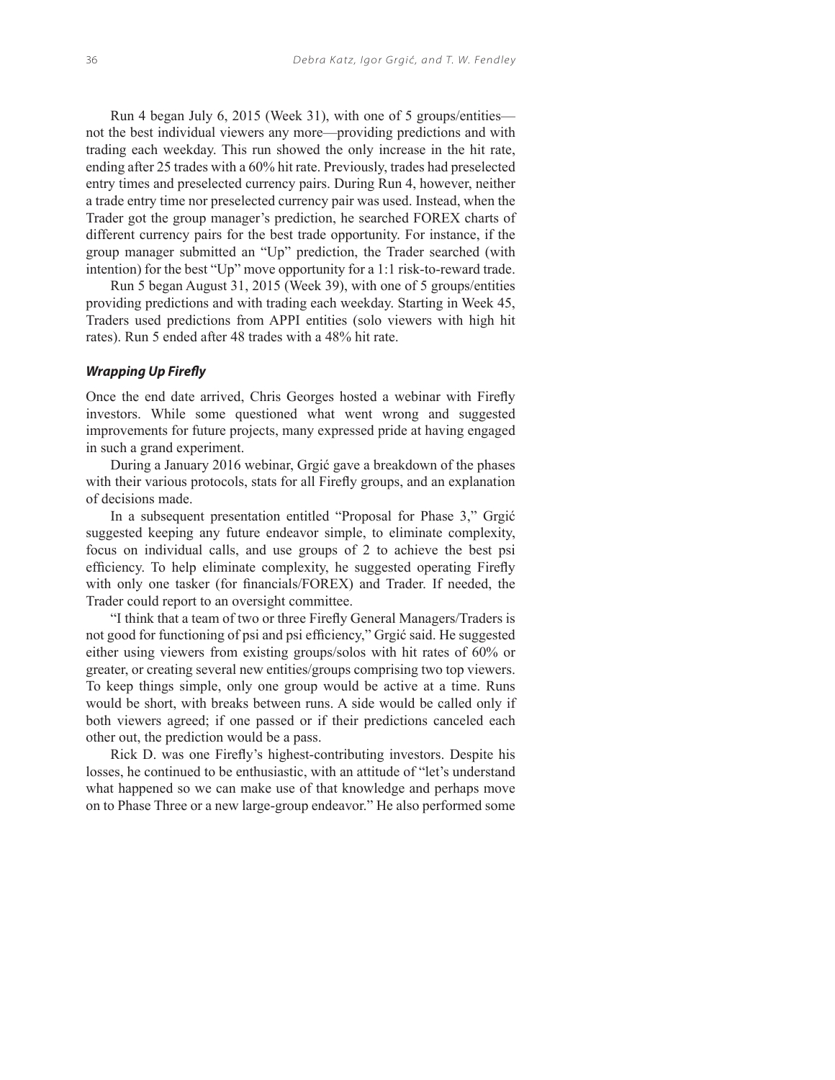Run 4 began July 6, 2015 (Week 31), with one of 5 groups/entities not the best individual viewers any more—providing predictions and with trading each weekday. This run showed the only increase in the hit rate, ending after 25 trades with a 60% hit rate. Previously, trades had preselected entry times and preselected currency pairs. During Run 4, however, neither a trade entry time nor preselected currency pair was used. Instead, when the Trader got the group manager's prediction, he searched FOREX charts of different currency pairs for the best trade opportunity. For instance, if the group manager submitted an "Up" prediction, the Trader searched (with intention) for the best "Up" move opportunity for a 1:1 risk-to-reward trade.

Run 5 began August 31, 2015 (Week 39), with one of 5 groups/entities providing predictions and with trading each weekday. Starting in Week 45, Traders used predictions from APPI entities (solo viewers with high hit rates). Run 5 ended after 48 trades with a 48% hit rate.

## **Wrapping Up Firefly**

Once the end date arrived, Chris Georges hosted a webinar with Firefly investors. While some questioned what went wrong and suggested improvements for future projects, many expressed pride at having engaged in such a grand experiment.

During a January 2016 webinar, Grgić gave a breakdown of the phases with their various protocols, stats for all Firefly groups, and an explanation of decisions made.

In a subsequent presentation entitled "Proposal for Phase 3," Grgić suggested keeping any future endeavor simple, to eliminate complexity, focus on individual calls, and use groups of 2 to achieve the best psi efficiency. To help eliminate complexity, he suggested operating Firefly with only one tasker (for financials/FOREX) and Trader. If needed, the Trader could report to an oversight committee.

"I think that a team of two or three Firefly General Managers/Traders is not good for functioning of psi and psi efficiency," Grgić said. He suggested either using viewers from existing groups/solos with hit rates of 60% or greater, or creating several new entities/groups comprising two top viewers. To keep things simple, only one group would be active at a time. Runs would be short, with breaks between runs. A side would be called only if both viewers agreed; if one passed or if their predictions canceled each other out, the prediction would be a pass.

Rick D. was one Firefly's highest-contributing investors. Despite his losses, he continued to be enthusiastic, with an attitude of "let's understand what happened so we can make use of that knowledge and perhaps move on to Phase Three or a new large-group endeavor." He also performed some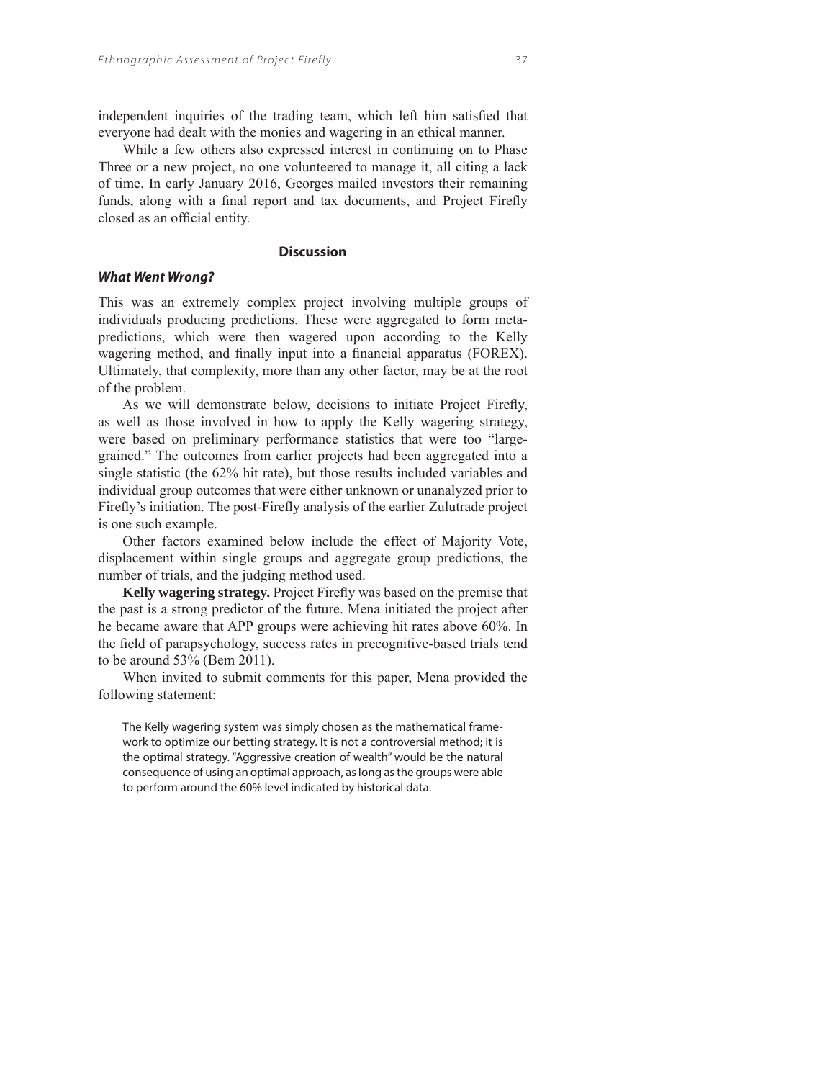independent inquiries of the trading team, which left him satisfied that everyone had dealt with the monies and wagering in an ethical manner.

While a few others also expressed interest in continuing on to Phase Three or a new project, no one volunteered to manage it, all citing a lack of time. In early January 2016, Georges mailed investors their remaining funds, along with a final report and tax documents, and Project Firefly closed as an official entity.

#### **Discussion**

## **What Went Wrong?**

This was an extremely complex project involving multiple groups of individuals producing predictions. These were aggregated to form metapredictions, which were then wagered upon according to the Kelly wagering method, and finally input into a financial apparatus (FOREX). Ultimately, that complexity, more than any other factor, may be at the root of the problem.

As we will demonstrate below, decisions to initiate Project Firefly, as well as those involved in how to apply the Kelly wagering strategy, were based on preliminary performance statistics that were too "largegrained." The outcomes from earlier projects had been aggregated into a single statistic (the 62% hit rate), but those results included variables and individual group outcomes that were either unknown or unanalyzed prior to Firefly's initiation. The post-Firefly analysis of the earlier Zulutrade project is one such example.

Other factors examined below include the effect of Majority Vote, displacement within single groups and aggregate group predictions, the number of trials, and the judging method used.

Kelly wagering strategy. Project Firefly was based on the premise that the past is a strong predictor of the future. Mena initiated the project after he became aware that APP groups were achieving hit rates above 60%. In the field of parapsychology, success rates in precognitive-based trials tend to be around 53% (Bem 2011).

When invited to submit comments for this paper, Mena provided the following statement:

The Kelly wagering system was simply chosen as the mathematical framework to optimize our betting strategy. It is not a controversial method; it is the optimal strategy. "Aggressive creation of wealth" would be the natural consequence of using an optimal approach, as long as the groups were able to perform around the 60% level indicated by historical data.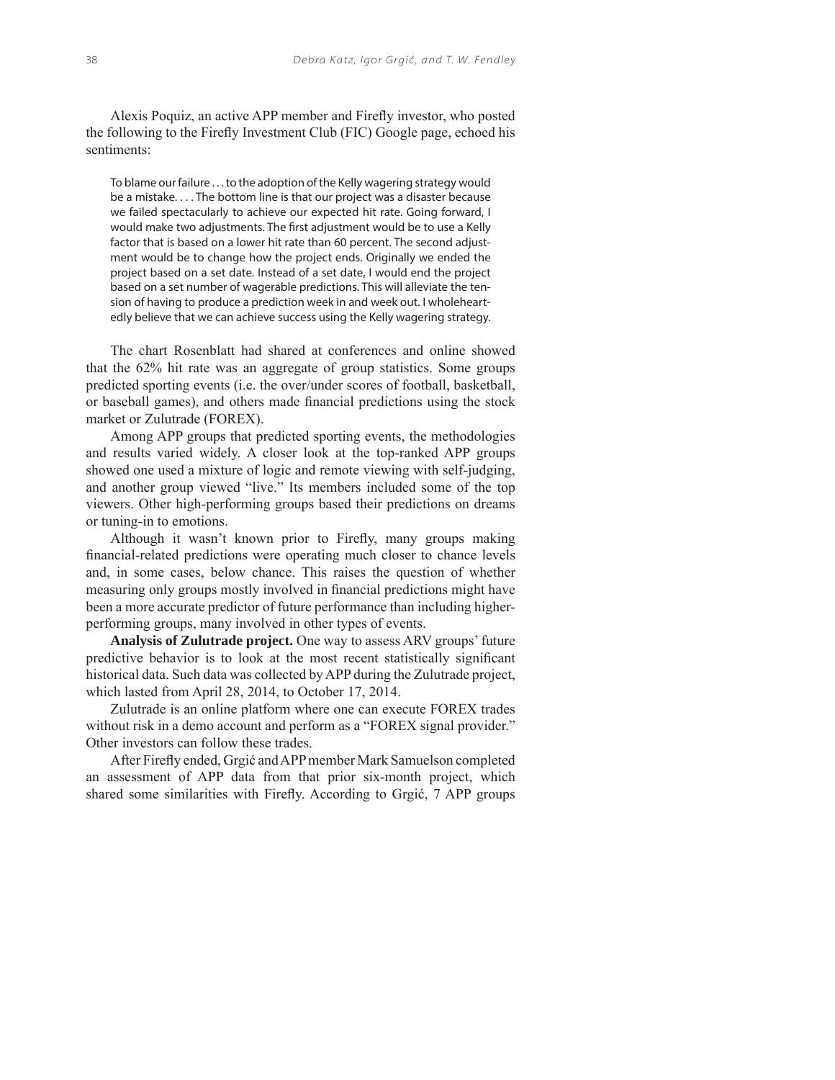Alexis Poquiz, an active APP member and Firefly investor, who posted the following to the Firefly Investment Club (FIC) Google page, echoed his sentiments:

To blame our failure . . . to the adoption of the Kelly wagering strategy would be a mistake. . . . The bottom line is that our project was a disaster because we failed spectacularly to achieve our expected hit rate. Going forward, I would make two adjustments. The first adjustment would be to use a Kelly factor that is based on a lower hit rate than 60 percent. The second adjustment would be to change how the project ends. Originally we ended the project based on a set date. Instead of a set date, I would end the project based on a set number of wagerable predictions. This will alleviate the tension of having to produce a prediction week in and week out. I wholeheartedly believe that we can achieve success using the Kelly wagering strategy.

The chart Rosenblatt had shared at conferences and online showed that the 62% hit rate was an aggregate of group statistics. Some groups predicted sporting events (i.e. the over/under scores of football, basketball, or baseball games), and others made financial predictions using the stock market or Zulutrade (FOREX).

Among APP groups that predicted sporting events, the methodologies and results varied widely. A closer look at the top-ranked APP groups showed one used a mixture of logic and remote viewing with self-judging, and another group viewed "live." Its members included some of the top viewers. Other high-performing groups based their predictions on dreams or tuning-in to emotions.

Although it wasn't known prior to Firefly, many groups making financial-related predictions were operating much closer to chance levels and, in some cases, below chance. This raises the question of whether measuring only groups mostly involved in financial predictions might have been a more accurate predictor of future performance than including higherperforming groups, many involved in other types of events.

**Analysis of Zulutrade project.** One way to assess ARV groups' future predictive behavior is to look at the most recent statistically significant historical data. Such data was collected by APP during the Zulutrade project, which lasted from April 28, 2014, to October 17, 2014.

Zulutrade is an online platform where one can execute FOREX trades without risk in a demo account and perform as a "FOREX signal provider." Other investors can follow these trades.

After Firefly ended, Grgić and APP member Mark Samuelson completed an assessment of APP data from that prior six-month project, which shared some similarities with Firefly. According to Grgić, 7 APP groups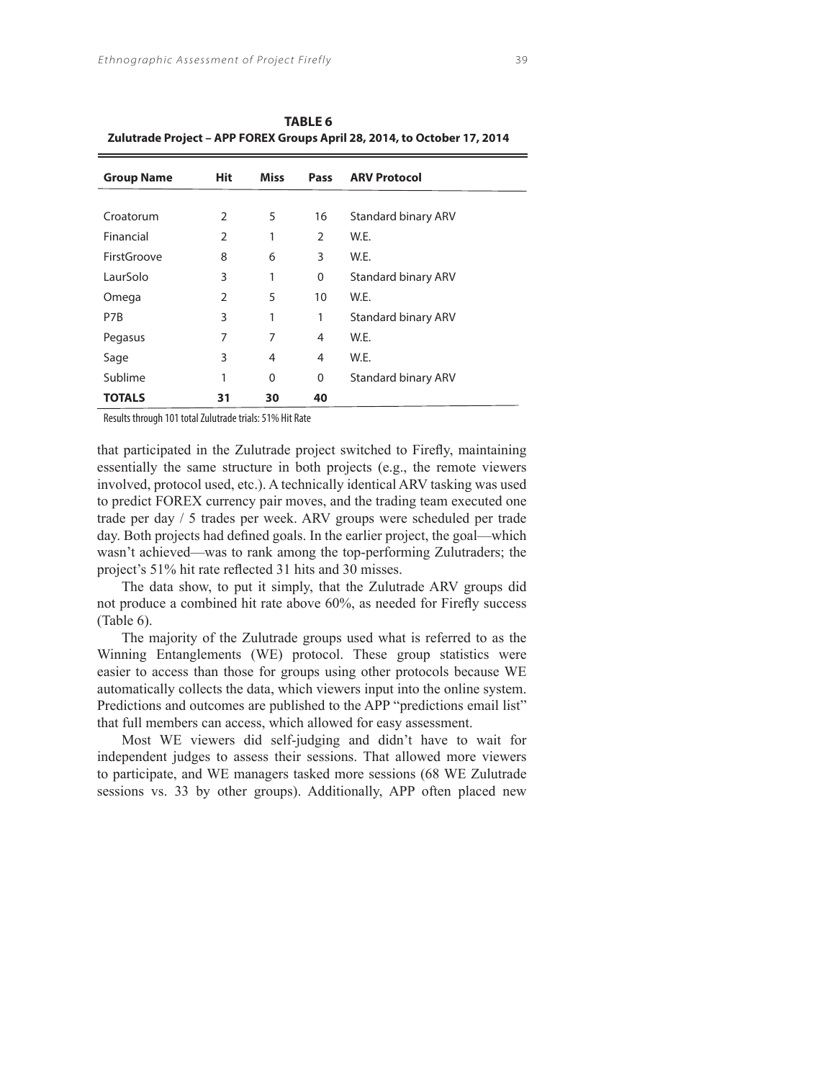| <b>Group Name</b> | Hit            | Miss     | Pass           | <b>ARV Protocol</b>        |
|-------------------|----------------|----------|----------------|----------------------------|
|                   |                |          |                |                            |
| Croatorum         | 2              | 5        | 16             | Standard binary ARV        |
| Financial         | $\overline{2}$ | 1        | $\overline{2}$ | W.E.                       |
| FirstGroove       | 8              | 6        | 3              | W.E.                       |
| LaurSolo          | 3              | 1        | 0              | <b>Standard binary ARV</b> |
| Omega             | $\overline{2}$ | 5        | 10             | W.E.                       |
| P7B               | 3              | 1        | 1              | <b>Standard binary ARV</b> |
| Pegasus           | 7              | 7        | 4              | W.E.                       |
| Sage              | 3              | 4        | 4              | W.E.                       |
| Sublime           | 1              | $\Omega$ | 0              | <b>Standard binary ARV</b> |
| <b>TOTALS</b>     | 31             | 30       | 40             |                            |

**TABLE 6 Zulutrade Project – APP FOREX Groups April 28, 2014, to October 17, 2014**

Results through 101 total Zulutrade trials: 51% Hit Rate

that participated in the Zulutrade project switched to Firefly, maintaining essentially the same structure in both projects (e.g., the remote viewers involved, protocol used, etc.). A technically identical ARV tasking was used to predict FOREX currency pair moves, and the trading team executed one trade per day / 5 trades per week. ARV groups were scheduled per trade day. Both projects had defined goals. In the earlier project, the goal—which wasn't achieved—was to rank among the top-performing Zulutraders; the project's 51% hit rate reflected 31 hits and 30 misses.

The data show, to put it simply, that the Zulutrade ARV groups did not produce a combined hit rate above 60%, as needed for Firefly success (Table 6).

The majority of the Zulutrade groups used what is referred to as the Winning Entanglements (WE) protocol. These group statistics were easier to access than those for groups using other protocols because WE automatically collects the data, which viewers input into the online system. Predictions and outcomes are published to the APP "predictions email list" that full members can access, which allowed for easy assessment.

Most WE viewers did self-judging and didn't have to wait for independent judges to assess their sessions. That allowed more viewers to participate, and WE managers tasked more sessions (68 WE Zulutrade sessions vs. 33 by other groups). Additionally, APP often placed new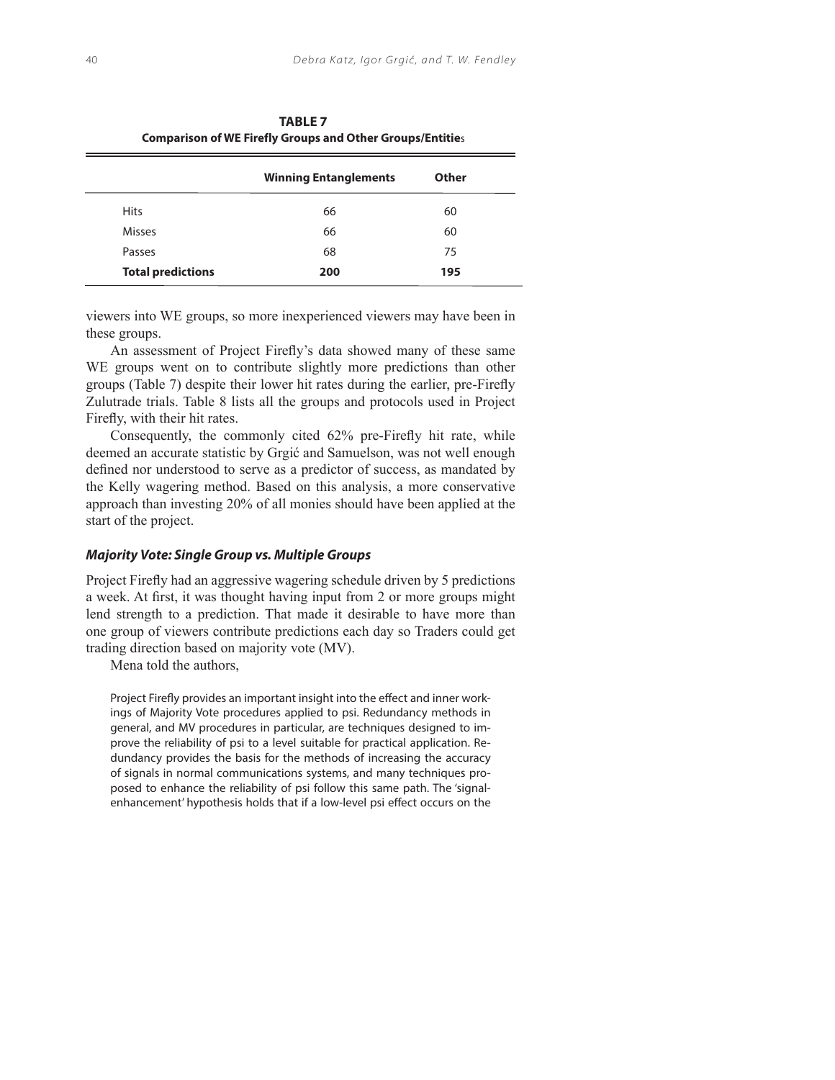| <b>Comparison of WE Firefly Groups and Other Groups/Entities</b> |                              |       |  |  |
|------------------------------------------------------------------|------------------------------|-------|--|--|
|                                                                  | <b>Winning Entanglements</b> | Other |  |  |
| <b>Hits</b>                                                      | 66                           | 60    |  |  |
| <b>Misses</b>                                                    | 66                           | 60    |  |  |
| Passes                                                           | 68                           | 75    |  |  |
| <b>Total predictions</b>                                         | 200                          | 195   |  |  |

 **TABLE 7**

viewers into WE groups, so more inexperienced viewers may have been in these groups.

An assessment of Project Firefly's data showed many of these same WE groups went on to contribute slightly more predictions than other groups (Table 7) despite their lower hit rates during the earlier, pre-Firefly Zulutrade trials. Table 8 lists all the groups and protocols used in Project Firefly, with their hit rates.

Consequently, the commonly cited 62% pre-Firefly hit rate, while deemed an accurate statistic by Grgić and Samuelson, was not well enough defined nor understood to serve as a predictor of success, as mandated by the Kelly wagering method. Based on this analysis, a more conservative approach than investing 20% of all monies should have been applied at the start of the project.

## **Majority Vote: Single Group vs. Multiple Groups**

Project Firefly had an aggressive wagering schedule driven by 5 predictions a week. At first, it was thought having input from 2 or more groups might lend strength to a prediction. That made it desirable to have more than one group of viewers contribute predictions each day so Traders could get trading direction based on majority vote (MV).

Mena told the authors,

Project Firefly provides an important insight into the effect and inner workings of Majority Vote procedures applied to psi. Redundancy methods in general, and MV procedures in particular, are techniques designed to improve the reliability of psi to a level suitable for practical application. Redundancy provides the basis for the methods of increasing the accuracy of signals in normal communications systems, and many techniques proposed to enhance the reliability of psi follow this same path. The 'signalenhancement' hypothesis holds that if a low-level psi effect occurs on the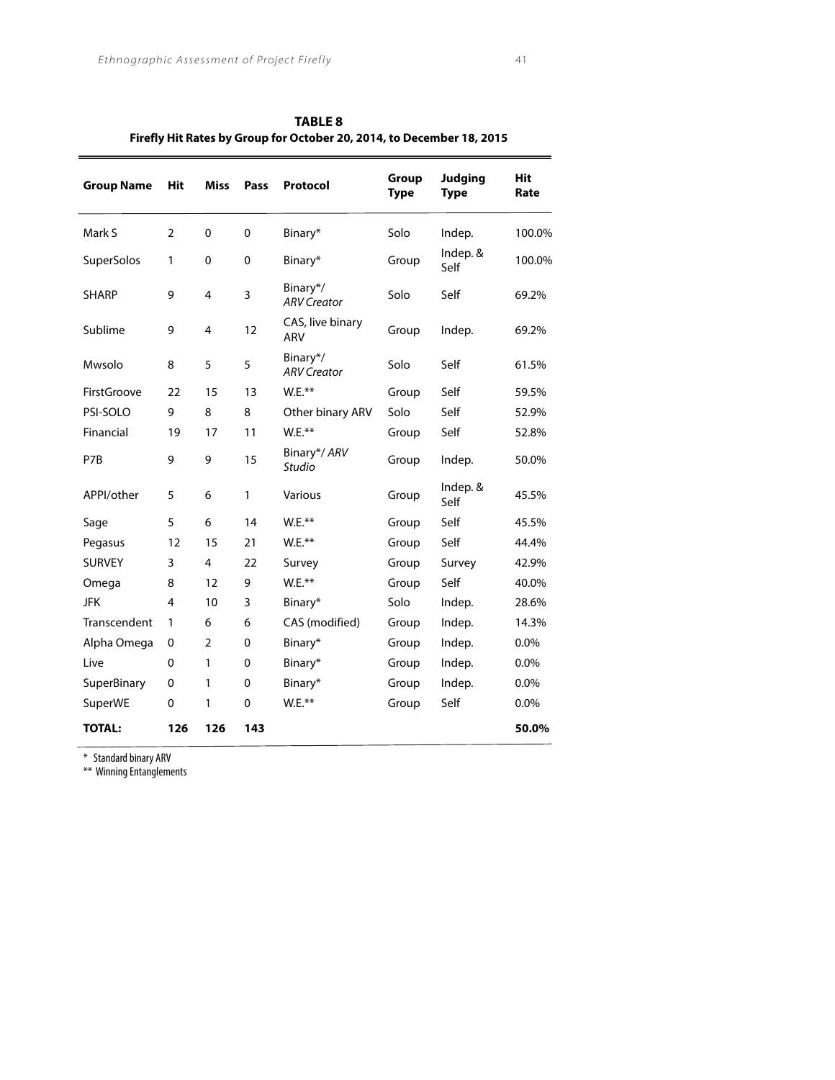| <b>Group Name</b> | <b>Hit</b>     | <b>Miss</b>    | Pass        | Protocol                       | Group<br><b>Type</b> | <b>Judging</b><br><b>Type</b> | Hit<br>Rate |
|-------------------|----------------|----------------|-------------|--------------------------------|----------------------|-------------------------------|-------------|
| Mark S            | $\overline{2}$ | $\mathbf{0}$   | $\Omega$    | Binary*                        | Solo                 | Indep.                        | 100.0%      |
| SuperSolos        | 1              | 0              | $\mathbf 0$ | Binary*                        | Group                | Indep. &<br>Self              | 100.0%      |
| <b>SHARP</b>      | 9              | 4              | 3           | Binary*/<br><b>ARV Creator</b> | Solo                 | Self                          | 69.2%       |
| Sublime           | 9              | 4              | 12          | CAS, live binary<br><b>ARV</b> | Group                | Indep.                        | 69.2%       |
| Mwsolo            | 8              | 5              | 5           | Binary*/<br><b>ARV Creator</b> | Solo                 | Self                          | 61.5%       |
| FirstGroove       | 22             | 15             | 13          | $W.E.**$                       | Group                | Self                          | 59.5%       |
| PSI-SOLO          | 9              | 8              | 8           | Other binary ARV               | Solo                 | Self                          | 52.9%       |
| Financial         | 19             | 17             | 11          | W.E.**                         | Group                | Self                          | 52.8%       |
| P7B               | 9              | 9              | 15          | Binary*/ ARV<br><b>Studio</b>  | Group                | Indep.                        | 50.0%       |
| APPI/other        | 5              | 6              | 1           | Various                        | Group                | Indep. &<br>Self              | 45.5%       |
| Sage              | 5              | 6              | 14          | W.E.**                         | Group                | Self                          | 45.5%       |
| Pegasus           | 12             | 15             | 21          | W.E.**                         | Group                | Self                          | 44.4%       |
| <b>SURVEY</b>     | 3              | 4              | 22          | Survey                         | Group                | Survey                        | 42.9%       |
| Omega             | 8              | 12             | 9           | W.E.**                         | Group                | Self                          | 40.0%       |
| <b>JFK</b>        | 4              | 10             | 3           | Binary*                        | Solo                 | Indep.                        | 28.6%       |
| Transcendent      | 1              | 6              | 6           | CAS (modified)                 | Group                | Indep.                        | 14.3%       |
| Alpha Omega       | 0              | $\overline{2}$ | 0           | Binary*                        | Group                | Indep.                        | 0.0%        |
| Live              | 0              | 1              | 0           | Binary*                        | Group                | Indep.                        | $0.0\%$     |
| SuperBinary       | 0              | 1              | 0           | Binary*                        | Group                | Indep.                        | 0.0%        |
| SuperWE           | $\mathbf 0$    | 1              | 0           | W.E.**                         | Group                | Self                          | 0.0%        |
| <b>TOTAL:</b>     | 126            | 126            | 143         |                                |                      |                               | 50.0%       |

**TABLE 8 Firefly Hit Rates by Group for October 20, 2014, to December 18, 2015**

\* Standard binary ARV

\*\* Winning Entanglements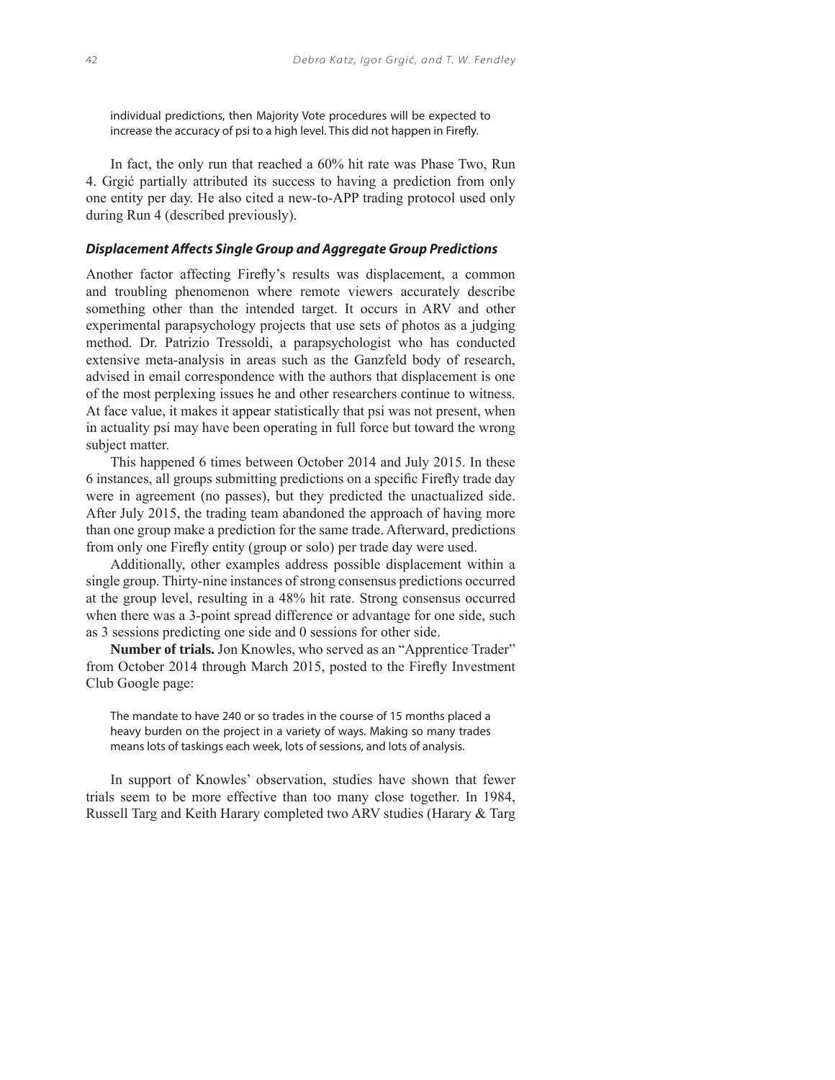individual predictions, then Majority Vote procedures will be expected to increase the accuracy of psi to a high level. This did not happen in Firefly.

In fact, the only run that reached a 60% hit rate was Phase Two, Run 4. Grgić partially attributed its success to having a prediction from only one entity per day. He also cited a new-to-APP trading protocol used only during Run 4 (described previously).

## **Displacement Affects Single Group and Aggregate Group Predictions**

Another factor affecting Firefly's results was displacement, a common and troubling phenomenon where remote viewers accurately describe something other than the intended target. It occurs in ARV and other experimental parapsychology projects that use sets of photos as a judging method. Dr. Patrizio Tressoldi, a parapsychologist who has conducted extensive meta-analysis in areas such as the Ganzfeld body of research, advised in email correspondence with the authors that displacement is one of the most perplexing issues he and other researchers continue to witness. At face value, it makes it appear statistically that psi was not present, when in actuality psi may have been operating in full force but toward the wrong subject matter.

This happened 6 times between October 2014 and July 2015. In these 6 instances, all groups submitting predictions on a specific Firefly trade day were in agreement (no passes), but they predicted the unactualized side. After July 2015, the trading team abandoned the approach of having more than one group make a prediction for the same trade. Afterward, predictions from only one Firefly entity (group or solo) per trade day were used.

Additionally, other examples address possible displacement within a single group. Thirty-nine instances of strong consensus predictions occurred at the group level, resulting in a 48% hit rate. Strong consensus occurred when there was a 3-point spread difference or advantage for one side, such as 3 sessions predicting one side and 0 sessions for other side.

**Number of trials.** Jon Knowles, who served as an "Apprentice Trader" from October 2014 through March 2015, posted to the Firefly Investment Club Google page:

The mandate to have 240 or so trades in the course of 15 months placed a heavy burden on the project in a variety of ways. Making so many trades means lots of taskings each week, lots of sessions, and lots of analysis.

In support of Knowles' observation, studies have shown that fewer trials seem to be more effective than too many close together. In 1984, Russell Targ and Keith Harary completed two ARV studies (Harary & Targ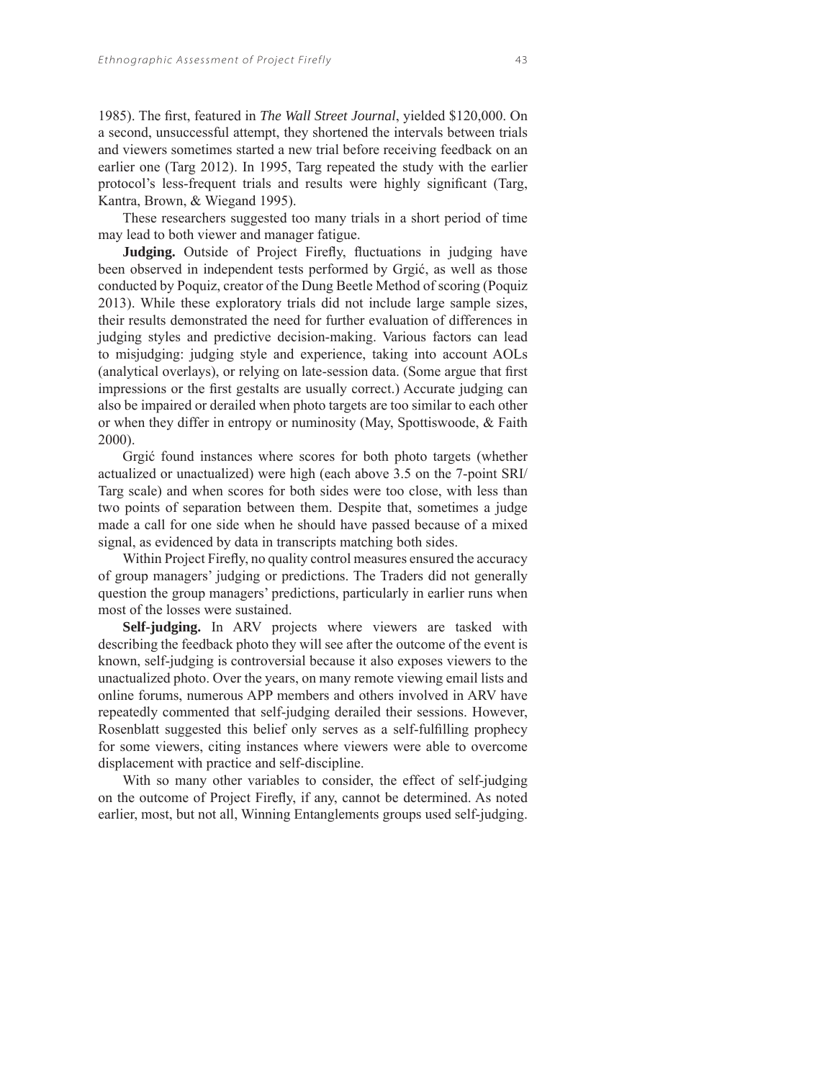1985). The first, featured in *The Wall Street Journal*, yielded \$120,000. On a second, unsuccessful attempt, they shortened the intervals between trials and viewers sometimes started a new trial before receiving feedback on an earlier one (Targ 2012). In 1995, Targ repeated the study with the earlier protocol's less-frequent trials and results were highly significant (Targ, Kantra, Brown, & Wiegand 1995).

These researchers suggested too many trials in a short period of time may lead to both viewer and manager fatigue.

**Judging.** Outside of Project Firefly, fluctuations in judging have been observed in independent tests performed by Grgić, as well as those conducted by Poquiz, creator of the Dung Beetle Method of scoring (Poquiz 2013). While these exploratory trials did not include large sample sizes, their results demonstrated the need for further evaluation of differences in judging styles and predictive decision-making. Various factors can lead to misjudging: judging style and experience, taking into account AOLs (analytical overlays), or relying on late-session data. (Some argue that first impressions or the first gestalts are usually correct.) Accurate judging can also be impaired or derailed when photo targets are too similar to each other or when they differ in entropy or numinosity (May, Spottiswoode, & Faith 2000).

Grgić found instances where scores for both photo targets (whether actualized or unactualized) were high (each above 3.5 on the 7-point SRI/ Targ scale) and when scores for both sides were too close, with less than two points of separation between them. Despite that, sometimes a judge made a call for one side when he should have passed because of a mixed signal, as evidenced by data in transcripts matching both sides.

Within Project Firefly, no quality control measures ensured the accuracy of group managers' judging or predictions. The Traders did not generally question the group managers' predictions, particularly in earlier runs when most of the losses were sustained.

**Self-judging.** In ARV projects where viewers are tasked with describing the feedback photo they will see after the outcome of the event is known, self-judging is controversial because it also exposes viewers to the unactualized photo. Over the years, on many remote viewing email lists and online forums, numerous APP members and others involved in ARV have repeatedly commented that self-judging derailed their sessions. However, Rosenblatt suggested this belief only serves as a self-fulfilling prophecy for some viewers, citing instances where viewers were able to overcome displacement with practice and self-discipline.

With so many other variables to consider, the effect of self-judging on the outcome of Project Firefly, if any, cannot be determined. As noted earlier, most, but not all, Winning Entanglements groups used self-judging.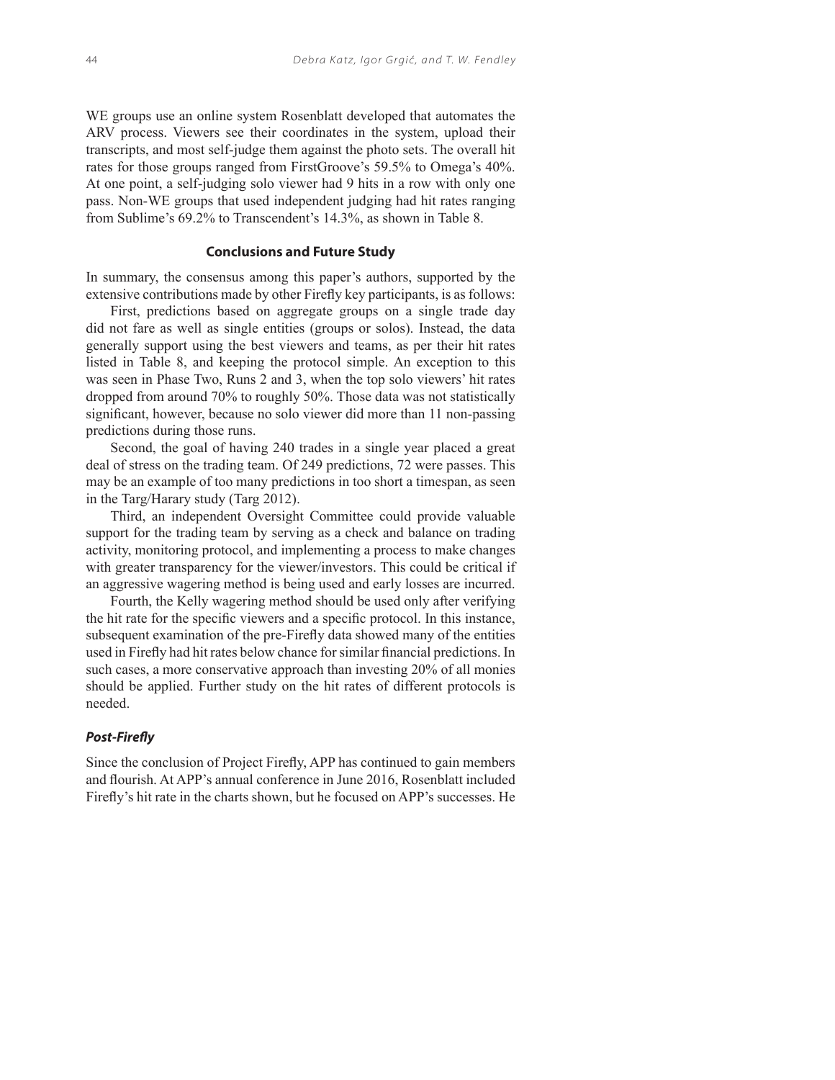WE groups use an online system Rosenblatt developed that automates the ARV process. Viewers see their coordinates in the system, upload their transcripts, and most self-judge them against the photo sets. The overall hit rates for those groups ranged from FirstGroove's 59.5% to Omega's 40%. At one point, a self-judging solo viewer had 9 hits in a row with only one pass. Non-WE groups that used independent judging had hit rates ranging from Sublime's 69.2% to Transcendent's 14.3%, as shown in Table 8.

#### **Conclusions and Future Study**

In summary, the consensus among this paper's authors, supported by the extensive contributions made by other Firefly key participants, is as follows:

First, predictions based on aggregate groups on a single trade day did not fare as well as single entities (groups or solos). Instead, the data generally support using the best viewers and teams, as per their hit rates listed in Table 8, and keeping the protocol simple. An exception to this was seen in Phase Two, Runs 2 and 3, when the top solo viewers' hit rates dropped from around 70% to roughly 50%. Those data was not statistically significant, however, because no solo viewer did more than 11 non-passing predictions during those runs.

Second, the goal of having 240 trades in a single year placed a great deal of stress on the trading team. Of 249 predictions, 72 were passes. This may be an example of too many predictions in too short a timespan, as seen in the Targ/Harary study (Targ 2012).

Third, an independent Oversight Committee could provide valuable support for the trading team by serving as a check and balance on trading activity, monitoring protocol, and implementing a process to make changes with greater transparency for the viewer/investors. This could be critical if an aggressive wagering method is being used and early losses are incurred.

Fourth, the Kelly wagering method should be used only after verifying the hit rate for the specific viewers and a specific protocol. In this instance, subsequent examination of the pre-Firefly data showed many of the entities used in Firefly had hit rates below chance for similar financial predictions. In such cases, a more conservative approach than investing 20% of all monies should be applied. Further study on the hit rates of different protocols is needed.

#### **Post-Firefl y**

Since the conclusion of Project Firefly, APP has continued to gain members and flourish. At APP's annual conference in June 2016, Rosenblatt included Firefly's hit rate in the charts shown, but he focused on APP's successes. He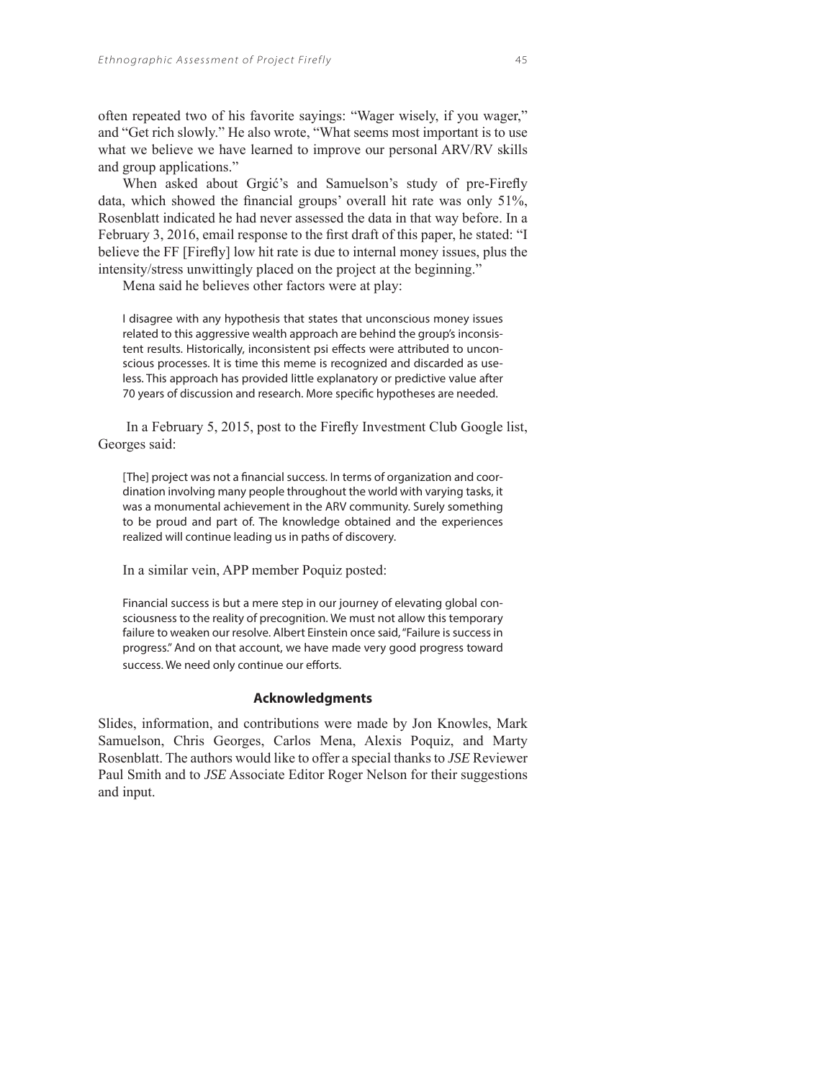often repeated two of his favorite sayings: "Wager wisely, if you wager," and "Get rich slowly." He also wrote, "What seems most important is to use what we believe we have learned to improve our personal ARV/RV skills and group applications."

When asked about Grgić's and Samuelson's study of pre-Firefly data, which showed the financial groups' overall hit rate was only  $51\%$ , Rosenblatt indicated he had never assessed the data in that way before. In a February 3, 2016, email response to the first draft of this paper, he stated: "I believe the FF [Firefly] low hit rate is due to internal money issues, plus the intensity/stress unwittingly placed on the project at the beginning."

Mena said he believes other factors were at play:

I disagree with any hypothesis that states that unconscious money issues related to this aggressive wealth approach are behind the group's inconsistent results. Historically, inconsistent psi effects were attributed to unconscious processes. It is time this meme is recognized and discarded as useless. This approach has provided little explanatory or predictive value after 70 years of discussion and research. More specific hypotheses are needed.

In a February 5, 2015, post to the Firefly Investment Club Google list, Georges said:

[The] project was not a financial success. In terms of organization and coordination involving many people throughout the world with varying tasks, it was a monumental achievement in the ARV community. Surely something to be proud and part of. The knowledge obtained and the experiences realized will continue leading us in paths of discovery.

In a similar vein, APP member Poquiz posted:

Financial success is but a mere step in our journey of elevating global consciousness to the reality of precognition. We must not allow this temporary failure to weaken our resolve. Albert Einstein once said, "Failure is success in progress." And on that account, we have made very good progress toward success. We need only continue our efforts.

#### **Acknowledgments**

Slides, information, and contributions were made by Jon Knowles, Mark Samuelson, Chris Georges, Carlos Mena, Alexis Poquiz, and Marty Rosenblatt. The authors would like to offer a special thanks to *JSE* Reviewer Paul Smith and to *JSE* Associate Editor Roger Nelson for their suggestions and input.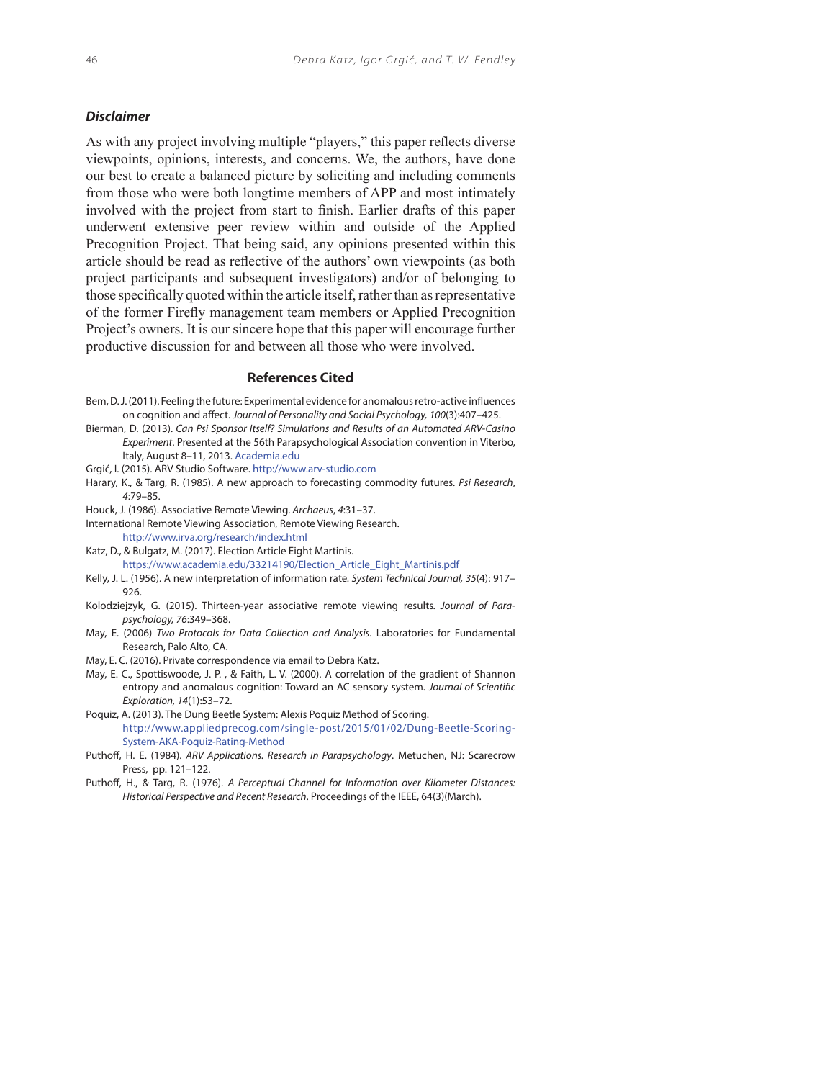## **Disclaimer**

As with any project involving multiple "players," this paper reflects diverse viewpoints, opinions, interests, and concerns. We, the authors, have done our best to create a balanced picture by soliciting and including comments from those who were both longtime members of APP and most intimately involved with the project from start to finish. Earlier drafts of this paper underwent extensive peer review within and outside of the Applied Precognition Project. That being said, any opinions presented within this article should be read as reflective of the authors' own viewpoints (as both project participants and subsequent investigators) and/or of belonging to those specifically quoted within the article itself, rather than as representative of the former Firefly management team members or Applied Precognition Project's owners. It is our sincere hope that this paper will encourage further productive discussion for and between all those who were involved.

#### **References Cited**

- Bem, D. J. (2011). Feeling the future: Experimental evidence for anomalous retro-active influences on cognition and affect. Journal of Personality and Social Psychology, 100(3):407-425.
- Bierman, D. (2013). Can Psi Sponsor Itself? Simulations and Results of an Automated ARV-Casino Experiment. Presented at the 56th Parapsychological Association convention in Viterbo, Italy, August 8–11, 2013. Academia.edu
- Grgić, I. (2015). ARV Studio Software. http://www.arv-studio.com
- Harary, K., & Targ, R. (1985). A new approach to forecasting commodity futures. Psi Research, 4:79–85.
- Houck, J. (1986). Associative Remote Viewing. Archaeus, 4:31–37.
- International Remote Viewing Association, Remote Viewing Research. http://www.irva.org/research/index.html
- Katz, D., & Bulgatz, M. (2017). Election Article Eight Martinis. https://www.academia.edu/33214190/Election\_Article\_Eight\_Martinis.pdf
- Kelly, J. L. (1956). A new interpretation of information rate. System Technical Journal, 35(4): 917-926.
- Kolodziejzyk, G. (2015). Thirteen-year associative remote viewing results. Journal of Parapsychology, 76:349–368.
- May, E. (2006) Two Protocols for Data Collection and Analysis. Laboratories for Fundamental Research, Palo Alto, CA.
- May, E. C. (2016). Private correspondence via email to Debra Katz.
- May, E. C., Spottiswoode, J. P. , & Faith, L. V. (2000). A correlation of the gradient of Shannon entropy and anomalous cognition: Toward an AC sensory system. Journal of Scientific Exploration, 14(1):53–72.
- Poquiz, A. (2013). The Dung Beetle System: Alexis Poquiz Method of Scoring. http://www.appliedprecog.com/single-post/2015/01/02/Dung-Beetle-Scoring-System-AKA-Poquiz-Rating-Method
- Puthoff, H. E. (1984). ARV Applications. Research in Parapsychology. Metuchen, NJ: Scarecrow Press, pp. 121–122.
- Puthoff, H., & Targ, R. (1976). A Perceptual Channel for Information over Kilometer Distances: Historical Perspective and Recent Research. Proceedings of the IEEE, 64(3)(March).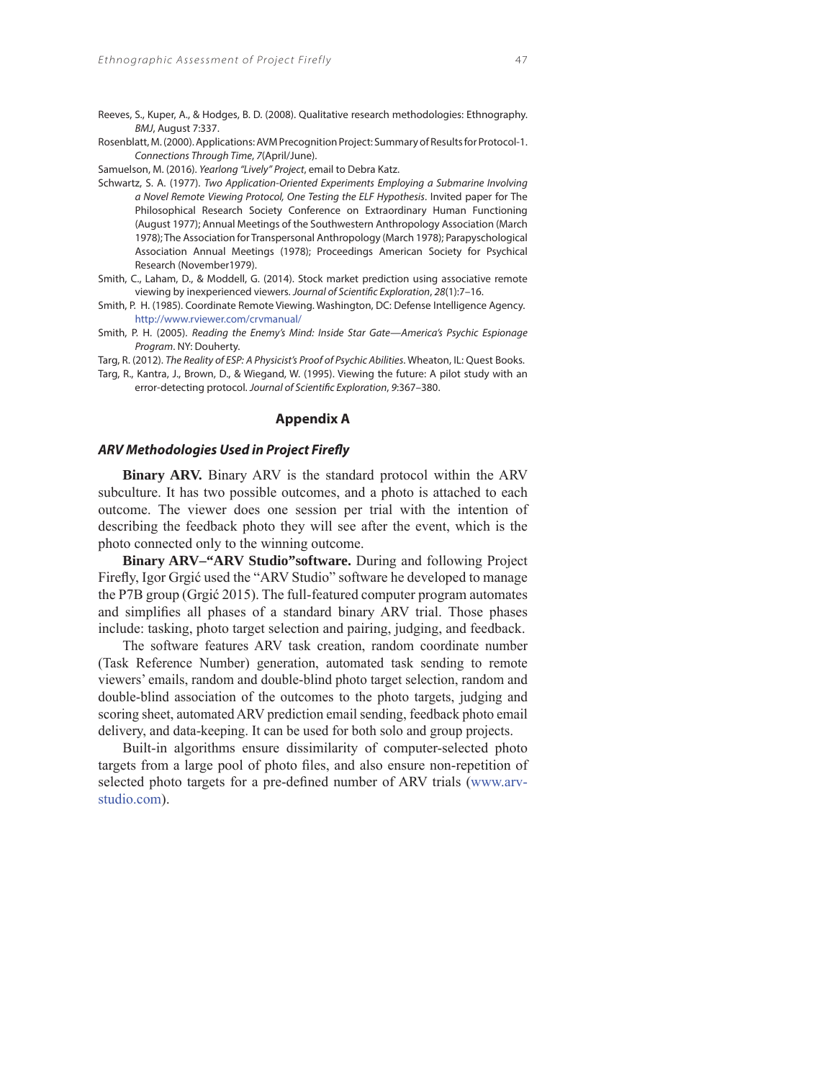Reeves, S., Kuper, A., & Hodges, B. D. (2008). Qualitative research methodologies: Ethnography. BMJ, August 7:337.

Rosenblatt, M. (2000). Applications: AVM Precognition Project: Summary of Results for Protocol-1. Connections Through Time, 7(April/June).

Samuelson, M. (2016). Yearlong "Lively" Project, email to Debra Katz.

- Schwartz, S. A. (1977). Two Application-Oriented Experiments Employing a Submarine Involving a Novel Remote Viewing Protocol, One Testing the ELF Hypothesis. Invited paper for The Philosophical Research Society Conference on Extraordinary Human Functioning (August 1977); Annual Meetings of the Southwestern Anthropology Association (March 1978); The Association for Transpersonal Anthropology (March 1978); Parapyschological Association Annual Meetings (1978); Proceedings American Society for Psychical Research (November1979).
- Smith, C., Laham, D., & Moddell, G. (2014). Stock market prediction using associative remote viewing by inexperienced viewers. Journal of Scientific Exploration, 28(1):7-16.
- Smith, P. H. (1985). Coordinate Remote Viewing. Washington, DC: Defense Intelligence Agency. http://www.rviewer.com/crvmanual/
- Smith, P. H. (2005). Reading the Enemy's Mind: Inside Star Gate—America's Psychic Espionage Program. NY: Douherty.

Targ, R. (2012). The Reality of ESP: A Physicist's Proof of Psychic Abilities. Wheaton, IL: Quest Books.

Targ, R., Kantra, J., Brown, D., & Wiegand, W. (1995). Viewing the future: A pilot study with an error-detecting protocol. Journal of Scientific Exploration, 9:367-380.

#### **Appendix A**

#### **ARV Methodologies Used in Project Firefly**

**Binary ARV.** Binary ARV is the standard protocol within the ARV subculture. It has two possible outcomes, and a photo is attached to each outcome. The viewer does one session per trial with the intention of describing the feedback photo they will see after the event, which is the photo connected only to the winning outcome.

**Binary ARV–"ARV Studio"software.** During and following Project Firefly, Igor Grgić used the "ARV Studio" software he developed to manage the P7B group (Grgić 2015). The full-featured computer program automates and simplifies all phases of a standard binary ARV trial. Those phases include: tasking, photo target selection and pairing, judging, and feedback.

The software features ARV task creation, random coordinate number (Task Reference Number) generation, automated task sending to remote viewers' emails, random and double-blind photo target selection, random and double-blind association of the outcomes to the photo targets, judging and scoring sheet, automated ARV prediction email sending, feedback photo email delivery, and data-keeping. It can be used for both solo and group projects.

Built-in algorithms ensure dissimilarity of computer-selected photo targets from a large pool of photo files, and also ensure non-repetition of selected photo targets for a pre-defined number of ARV trials (www.arvstudio.com).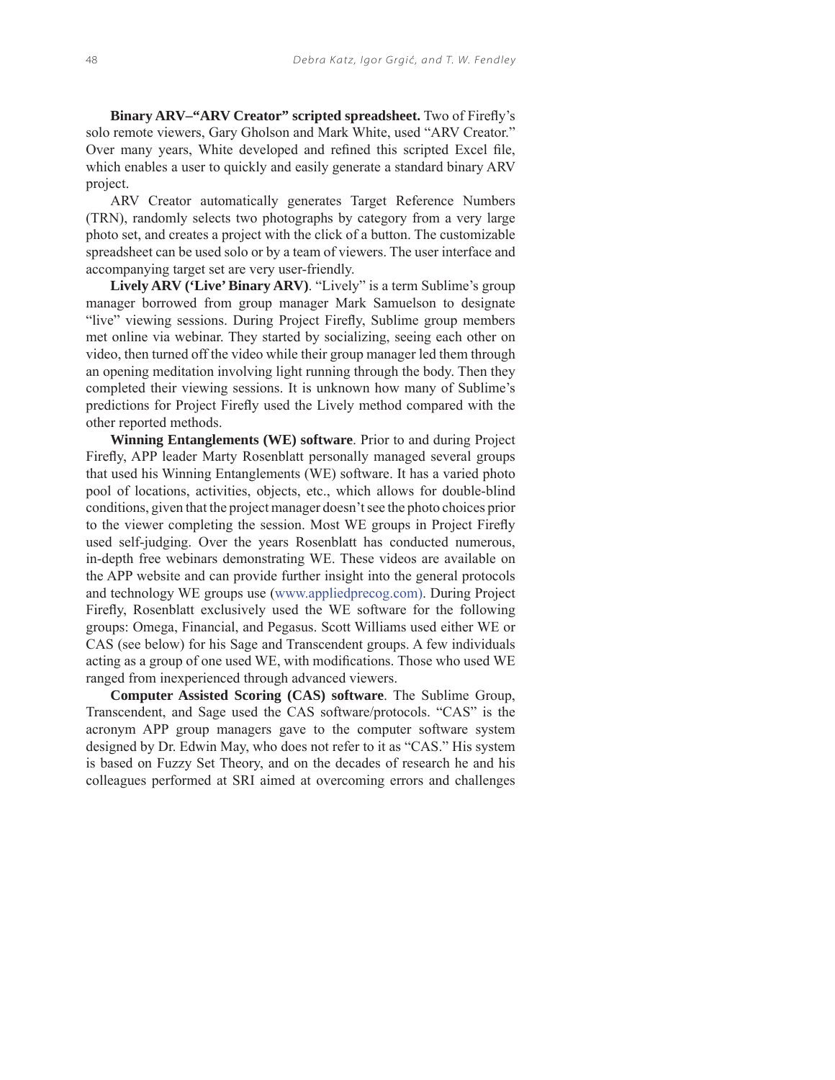**Binary ARV–"ARV Creator" scripted spreadsheet.** Two of Firefly's solo remote viewers, Gary Gholson and Mark White, used "ARV Creator." Over many years, White developed and refined this scripted Excel file, which enables a user to quickly and easily generate a standard binary ARV project.

ARV Creator automatically generates Target Reference Numbers (TRN), randomly selects two photographs by category from a very large photo set, and creates a project with the click of a button. The customizable spreadsheet can be used solo or by a team of viewers. The user interface and accompanying target set are very user-friendly.

**Lively ARV ('Live' Binary ARV)**. "Lively" is a term Sublime's group manager borrowed from group manager Mark Samuelson to designate "live" viewing sessions. During Project Firefly, Sublime group members met online via webinar. They started by socializing, seeing each other on video, then turned off the video while their group manager led them through an opening meditation involving light running through the body. Then they completed their viewing sessions. It is unknown how many of Sublime's predictions for Project Firefly used the Lively method compared with the other reported methods.

**Winning Entanglements (WE) software**. Prior to and during Project Firefly, APP leader Marty Rosenblatt personally managed several groups that used his Winning Entanglements (WE) software. It has a varied photo pool of locations, activities, objects, etc., which allows for double-blind conditions, given that the project manager doesn't see the photo choices prior to the viewer completing the session. Most WE groups in Project Firefly used self-judging. Over the years Rosenblatt has conducted numerous, in-depth free webinars demonstrating WE. These videos are available on the APP website and can provide further insight into the general protocols and technology WE groups use (www.appliedprecog.com). During Project Firefly, Rosenblatt exclusively used the WE software for the following groups: Omega, Financial, and Pegasus. Scott Williams used either WE or CAS (see below) for his Sage and Transcendent groups. A few individuals acting as a group of one used WE, with modifications. Those who used WE ranged from inexperienced through advanced viewers.

**Computer Assisted Scoring (CAS) software**. The Sublime Group, Transcendent, and Sage used the CAS software/protocols. "CAS" is the acronym APP group managers gave to the computer software system designed by Dr. Edwin May, who does not refer to it as "CAS." His system is based on Fuzzy Set Theory, and on the decades of research he and his colleagues performed at SRI aimed at overcoming errors and challenges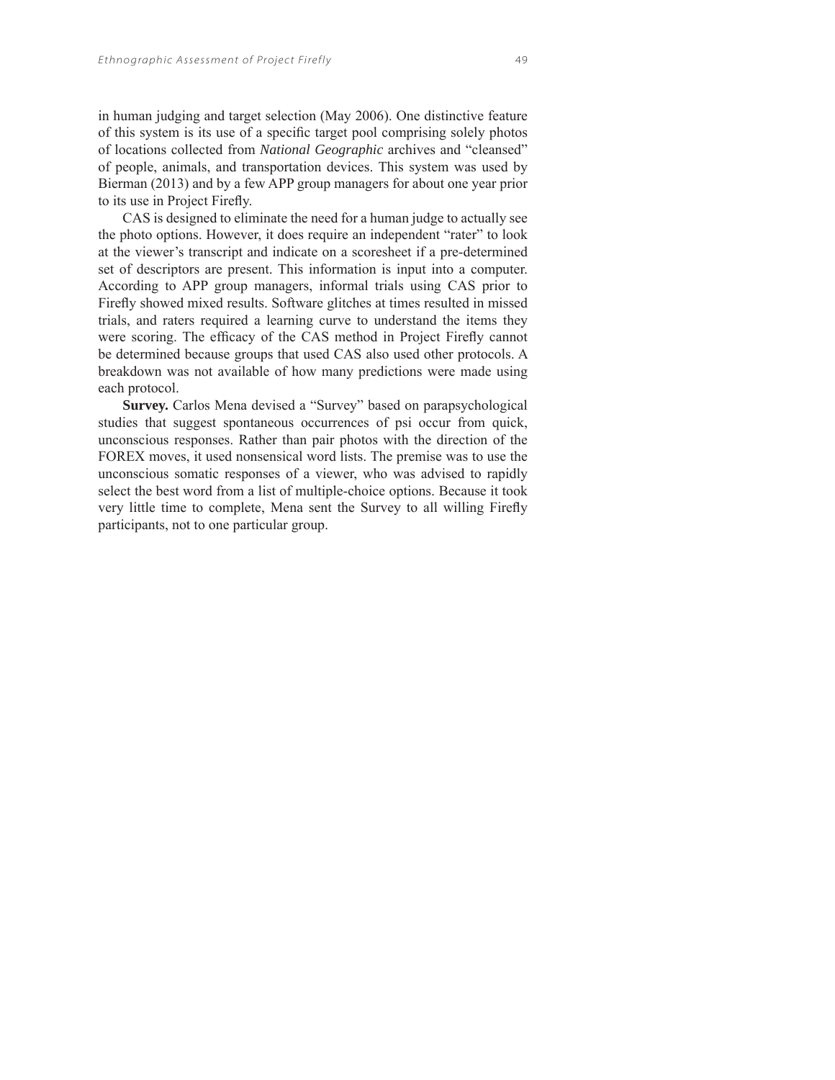in human judging and target selection (May 2006). One distinctive feature of this system is its use of a specific target pool comprising solely photos of locations collected from *National Geographic* archives and "cleansed" of people, animals, and transportation devices. This system was used by Bierman (2013) and by a few APP group managers for about one year prior to its use in Project Firefly.

CAS is designed to eliminate the need for a human judge to actually see the photo options. However, it does require an independent "rater" to look at the viewer's transcript and indicate on a scoresheet if a pre-determined set of descriptors are present. This information is input into a computer. According to APP group managers, informal trials using CAS prior to Firefly showed mixed results. Software glitches at times resulted in missed trials, and raters required a learning curve to understand the items they were scoring. The efficacy of the CAS method in Project Firefly cannot be determined because groups that used CAS also used other protocols. A breakdown was not available of how many predictions were made using each protocol.

**Survey.** Carlos Mena devised a "Survey" based on parapsychological studies that suggest spontaneous occurrences of psi occur from quick, unconscious responses. Rather than pair photos with the direction of the FOREX moves, it used nonsensical word lists. The premise was to use the unconscious somatic responses of a viewer, who was advised to rapidly select the best word from a list of multiple-choice options. Because it took very little time to complete, Mena sent the Survey to all willing Firefly participants, not to one particular group.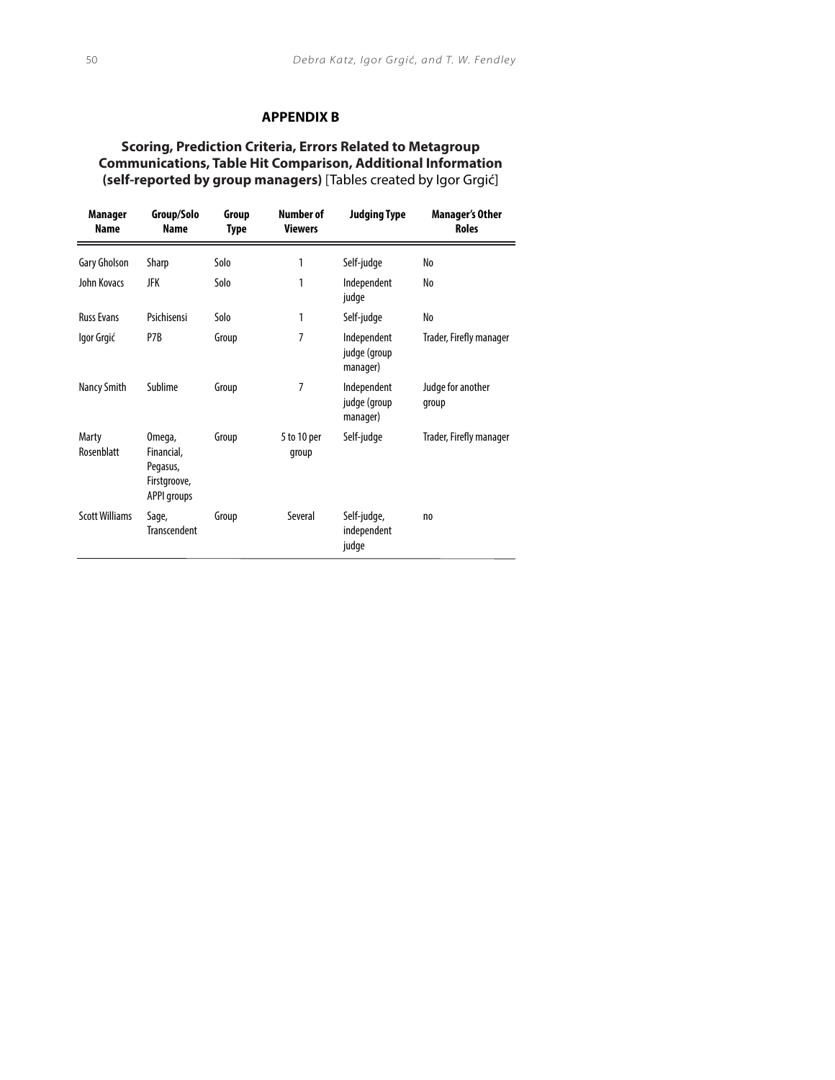## **APPENDIX B**

## **Scoring, Prediction Criteria, Errors Related to Metagroup Communications, Table Hit Comparison, Additional Information (self-reported by group managers)** [Tables created by Igor Grgić]

| Manager<br><b>Name</b> | Group/Solo<br><b>Name</b>                                              | Group<br>Type | Number of<br><b>Viewers</b> | <b>Judging Type</b>                     | <b>Manager's Other</b><br><b>Roles</b> |
|------------------------|------------------------------------------------------------------------|---------------|-----------------------------|-----------------------------------------|----------------------------------------|
| Gary Gholson           | Sharp                                                                  | Solo          | 1                           | Self-judge                              | No                                     |
| John Kovacs            | JFK                                                                    | Solo          | 1                           | Independent<br>judge                    | No                                     |
| <b>Russ Evans</b>      | Psichisensi                                                            | Solo          | 1                           | Self-judge                              | No                                     |
| Igor Grgić             | P7B                                                                    | Group         | 7                           | Independent<br>judge (group<br>manager) | Trader, Firefly manager                |
| Nancy Smith            | Sublime                                                                | Group         | 7                           | Independent<br>judge (group<br>manager) | Judge for another<br>group             |
| Marty<br>Rosenblatt    | Omega,<br>Financial,<br>Pegasus,<br>Firstgroove,<br><b>APPI groups</b> | Group         | 5 to 10 per<br>group        | Self-judge                              | Trader, Firefly manager                |
| <b>Scott Williams</b>  | Sage,<br><b>Transcendent</b>                                           | Group         | Several                     | Self-judge,<br>independent<br>judge     | n <sub>o</sub>                         |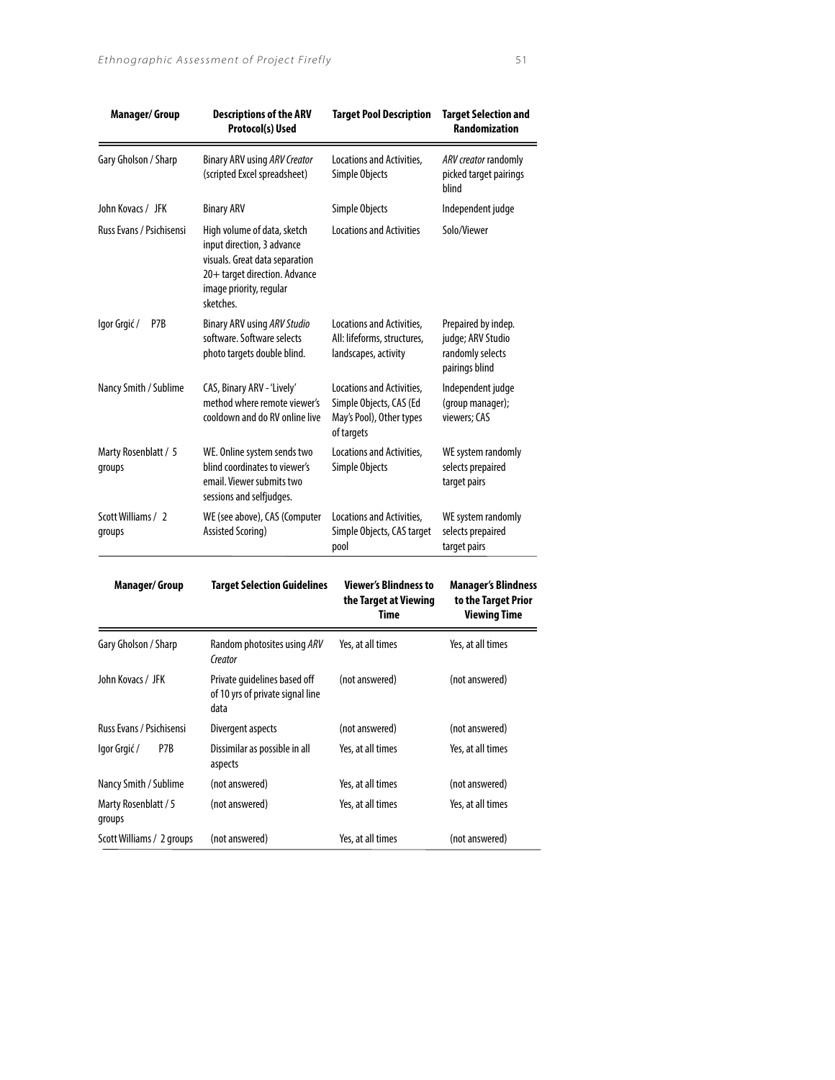| <b>Manager/Group</b>           | <b>Descriptions of the ARV</b><br>Protocol(s) Used                                                                                                                   | <b>Target Pool Description</b>                                                                 | <b>Target Selection and</b><br><b>Randomization</b>                            |
|--------------------------------|----------------------------------------------------------------------------------------------------------------------------------------------------------------------|------------------------------------------------------------------------------------------------|--------------------------------------------------------------------------------|
| Gary Gholson / Sharp           | Binary ARV using ARV Creator<br>(scripted Excel spreadsheet)                                                                                                         | Locations and Activities.<br>Simple Objects                                                    | ARV creator randomly<br>picked target pairings<br>blind                        |
| John Kovacs / JFK              | <b>Binary ARV</b>                                                                                                                                                    | Simple Objects                                                                                 | Independent judge                                                              |
| Russ Evans / Psichisensi       | High volume of data, sketch<br>input direction, 3 advance<br>visuals. Great data separation<br>20+ target direction. Advance<br>image priority, regular<br>sketches. | <b>Locations and Activities</b>                                                                | Solo/Viewer                                                                    |
| lgor Grgić/<br>P7B             | <b>Binary ARV using ARV Studio</b><br>software. Software selects<br>photo targets double blind.                                                                      | Locations and Activities,<br>All: lifeforms, structures,<br>landscapes, activity               | Prepaired by indep.<br>judge; ARV Studio<br>randomly selects<br>pairings blind |
| Nancy Smith / Sublime          | CAS, Binary ARV - 'Lively'<br>method where remote viewer's<br>cooldown and do RV online live                                                                         | Locations and Activities,<br>Simple Objects, CAS (Ed<br>May's Pool), Other types<br>of targets | Independent judge<br>(group manager);<br>viewers; CAS                          |
| Marty Rosenblatt / 5<br>groups | WE. Online system sends two<br>blind coordinates to viewer's<br>email. Viewer submits two<br>sessions and selfjudges.                                                | Locations and Activities,<br>Simple Objects                                                    | WE system randomly<br>selects prepaired<br>target pairs                        |
| Scott Williams / 2<br>groups   | WE (see above), CAS (Computer<br>Assisted Scoring)                                                                                                                   | Locations and Activities,<br>Simple Objects, CAS target<br>pool                                | WE system randomly<br>selects prepaired<br>target pairs                        |

| <b>Manager/Group</b>           | <b>Target Selection Guidelines</b>                                       | <b>Viewer's Blindness to</b><br>the Target at Viewing<br>Time | <b>Manager's Blindness</b><br>to the Target Prior<br><b>Viewing Time</b> |
|--------------------------------|--------------------------------------------------------------------------|---------------------------------------------------------------|--------------------------------------------------------------------------|
| Gary Gholson / Sharp           | Random photosites using ARV<br>Creator                                   | Yes, at all times                                             | Yes, at all times                                                        |
| John Kovacs / JFK              | Private guidelines based off<br>of 10 yrs of private signal line<br>data | (not answered)                                                | (not answered)                                                           |
| Russ Evans / Psichisensi       | Divergent aspects                                                        | (not answered)                                                | (not answered)                                                           |
| P7B<br>lgor Grgić/             | Dissimilar as possible in all<br>aspects                                 | Yes, at all times                                             | Yes, at all times                                                        |
| Nancy Smith / Sublime          | (not answered)                                                           | Yes, at all times                                             | (not answered)                                                           |
| Marty Rosenblatt / 5<br>groups | (not answered)                                                           | Yes, at all times                                             | Yes, at all times                                                        |
| Scott Williams / 2 groups      | (not answered)                                                           | Yes, at all times                                             | (not answered)                                                           |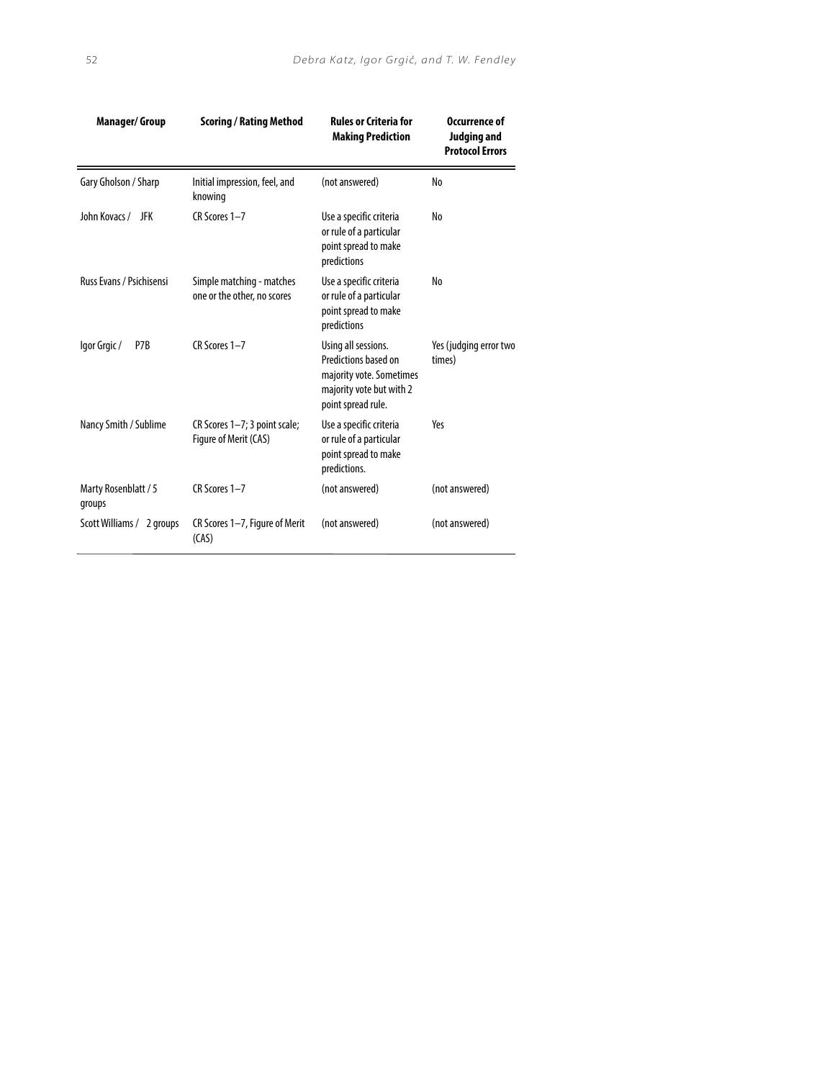| <b>Manager/Group</b>           | <b>Scoring / Rating Method</b>                           | <b>Rules or Criteria for</b><br><b>Making Prediction</b>                                                                  | Occurrence of<br>Judging and<br><b>Protocol Errors</b> |
|--------------------------------|----------------------------------------------------------|---------------------------------------------------------------------------------------------------------------------------|--------------------------------------------------------|
| Gary Gholson / Sharp           | Initial impression, feel, and<br>knowing                 | (not answered)                                                                                                            | No                                                     |
| John Kovacs / JFK              | CR Scores 1-7                                            | Use a specific criteria<br>or rule of a particular<br>point spread to make<br>predictions                                 | No                                                     |
| Russ Evans / Psichisensi       | Simple matching - matches<br>one or the other, no scores | Use a specific criteria<br>or rule of a particular<br>point spread to make<br>predictions                                 | No                                                     |
| P7B<br>lgor Grgic/             | CR Scores 1-7                                            | Using all sessions.<br>Predictions based on<br>majority vote. Sometimes<br>majority vote but with 2<br>point spread rule. | Yes (judging error two<br>times)                       |
| Nancy Smith / Sublime          | CR Scores 1-7; 3 point scale;<br>Figure of Merit (CAS)   | Use a specific criteria<br>or rule of a particular<br>point spread to make<br>predictions.                                | Yes                                                    |
| Marty Rosenblatt / 5<br>groups | CR Scores 1-7                                            | (not answered)                                                                                                            | (not answered)                                         |
| Scott Williams / 2 groups      | CR Scores 1-7, Figure of Merit<br>(CAS)                  | (not answered)                                                                                                            | (not answered)                                         |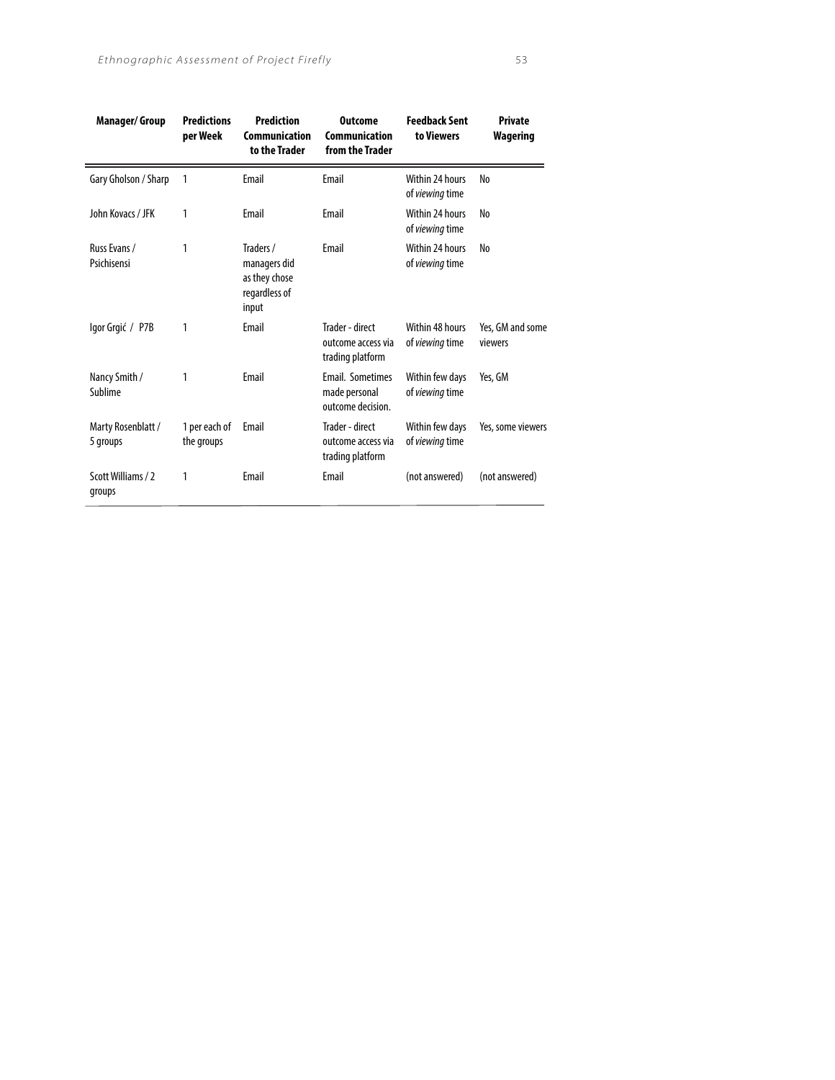| <b>Manager/Group</b>           | <b>Predictions</b><br>per Week | <b>Prediction</b><br>Communication<br>to the Trader                  | <b>Outcome</b><br><b>Communication</b><br>from the Trader | <b>Feedback Sent</b><br>to Viewers        | <b>Private</b><br>Wagering  |
|--------------------------------|--------------------------------|----------------------------------------------------------------------|-----------------------------------------------------------|-------------------------------------------|-----------------------------|
| Gary Gholson / Sharp           | 1                              | Email                                                                | <b>Fmail</b>                                              | Within 24 hours<br>of viewing time        | No                          |
| John Kovacs / JFK              | 1                              | Email                                                                | Email                                                     | Within 24 hours<br>of <i>viewing</i> time | No                          |
| Russ Evans /<br>Psichisensi    | 1                              | Traders /<br>managers did<br>as they chose<br>regardless of<br>input | Email                                                     | Within 24 hours<br>of viewing time        | No                          |
| Igor Grgić / P7B               | 1                              | Email                                                                | Trader - direct<br>outcome access via<br>trading platform | Within 48 hours<br>of viewing time        | Yes, GM and some<br>viewers |
| Nancy Smith /<br>Sublime       | 1                              | Email                                                                | Email. Sometimes<br>made personal<br>outcome decision.    | Within few days<br>of viewing time        | Yes, GM                     |
| Marty Rosenblatt /<br>5 groups | 1 per each of<br>the groups    | Email                                                                | Trader - direct<br>outcome access via<br>trading platform | Within few days<br>of viewing time        | Yes, some viewers           |
| Scott Williams / 2<br>groups   | 1                              | Email                                                                | Email                                                     | (not answered)                            | (not answered)              |